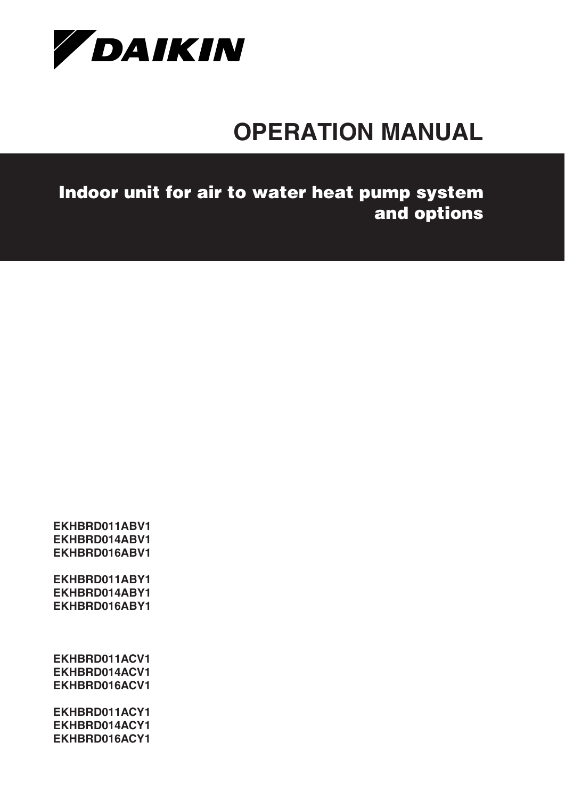

# **[OPERATION MANUAL](#page-1-0)**

**[Indoor unit for air to water heat pump system](#page-1-1) [and options](#page-1-1)**

**EKHBRD011ABV1 EKHBRD014ABV1 EKHBRD016ABV1**

**EKHBRD011ABY1 EKHBRD014ABY1 EKHBRD016ABY1**

**EKHBRD011ACV1 EKHBRD014ACV1 EKHBRD016ACV1**

**EKHBRD011ACY1 EKHBRD014ACY1 EKHBRD016ACY1**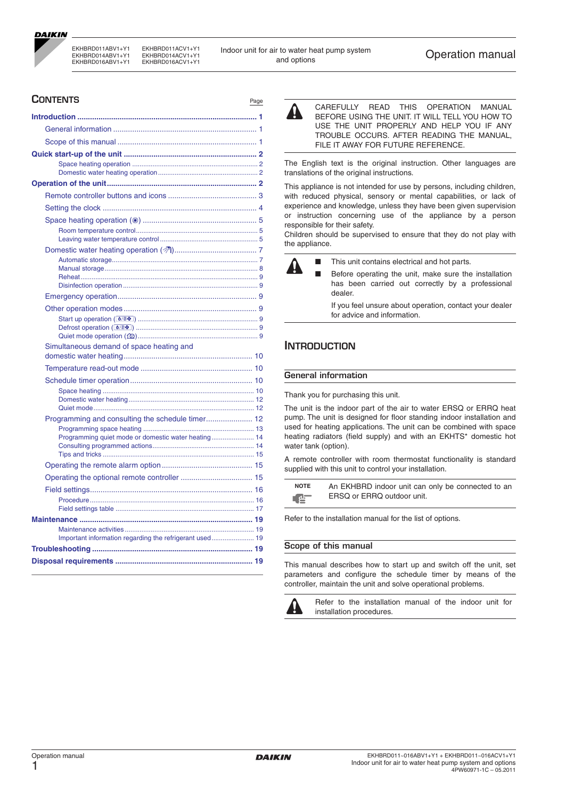#### **DAIKIN**

EKHBRD011ABV1+Y1 EKHBRD011ACV1+Y1<br>EKHBRD014ABV1+Y1 EKHBRD014ACV1+Y1 EKHBRD014ABV1+Y1 EKHBRD014ACV1+Y1 EKHBRD016ABV1+Y1 EKHBRD016ACV1+Y1

# **CONTENTS** Page

| Simultaneous demand of space heating and                |  |
|---------------------------------------------------------|--|
|                                                         |  |
|                                                         |  |
|                                                         |  |
|                                                         |  |
|                                                         |  |
| Programming and consulting the schedule timer 12        |  |
| Programming quiet mode or domestic water heating 14     |  |
|                                                         |  |
|                                                         |  |
|                                                         |  |
|                                                         |  |
|                                                         |  |
|                                                         |  |
|                                                         |  |
|                                                         |  |
|                                                         |  |
|                                                         |  |
| Important information regarding the refrigerant used 19 |  |
|                                                         |  |

<span id="page-1-1"></span>

<span id="page-1-0"></span>CAREFULLY READ THIS OPERATION MANUAL BEFORE USING THE UNIT. IT WILL TELL YOU HOW TO USE THE UNIT PROPERLY AND HELP YOU IF ANY TROUBLE OCCURS. AFTER READING THE MANUAL, FILE IT AWAY FOR FUTURE REFERENCE.

The English text is the original instruction. Other languages are translations of the original instructions.

This appliance is not intended for use by persons, including children, with reduced physical, sensory or mental capabilities, or lack of experience and knowledge, unless they have been given supervision or instruction concerning use of the appliance by a person responsible for their safety.

Children should be supervised to ensure that they do not play with the appliance.



■ This unit contains electrical and hot parts.

Before operating the unit, make sure the installation has been carried out correctly by a professional dealer.

If you feel unsure about operation, contact your dealer for advice and information.

# <span id="page-1-2"></span>**INTRODUCTION**

## <span id="page-1-4"></span>**General information**

Thank you for purchasing this unit.

The unit is the indoor part of the air to water ERSQ or ERRQ heat pump. The unit is designed for floor standing indoor installation and used for heating applications. The unit can be combined with space heating radiators (field supply) and with an EKHTS\* domestic hot water tank (option).

A remote controller with room thermostat functionality is standard supplied with this unit to control your installation.

**NOTE** An EKHBRD indoor unit can only be connected to an ERSQ or ERRQ outdoor unit. n al-

Refer to the installation manual for the list of options.

## <span id="page-1-3"></span>**Scope of this manual**

This manual describes how to start up and switch off the unit, set parameters and configure the schedule timer by means of the controller, maintain the unit and solve operational problems.



Refer to the installation manual of the indoor unit for installation procedures.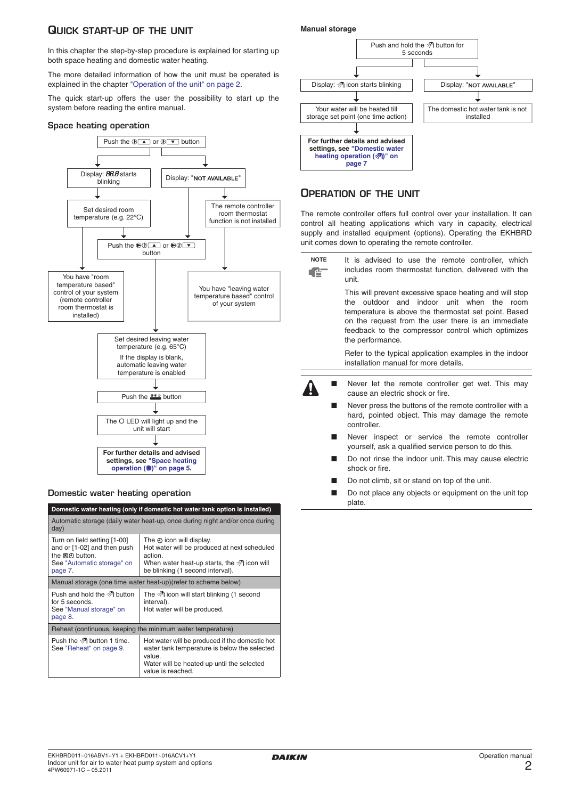# <span id="page-2-1"></span>**QUICK START-UP OF THE UNIT**

In this chapter the step-by-step procedure is explained for starting up both space heating and domestic water heating.

The more detailed information of how the unit must be operated is explained in the chapter ["Operation of the unit" on page 2](#page-2-0).

The quick start-up offers the user the possibility to start up the system before reading the entire manual.

# <span id="page-2-2"></span>**Space heating operation**



# <span id="page-2-3"></span>**Domestic water heating operation**

|                                                                                                                                                                                                                                                                                                                                | Domestic water heating (only if domestic hot water tank option is installed)                                                                                                |  |  |  |
|--------------------------------------------------------------------------------------------------------------------------------------------------------------------------------------------------------------------------------------------------------------------------------------------------------------------------------|-----------------------------------------------------------------------------------------------------------------------------------------------------------------------------|--|--|--|
| Automatic storage (daily water heat-up, once during night and/or once during<br>day)                                                                                                                                                                                                                                           |                                                                                                                                                                             |  |  |  |
| Turn on field setting [1-00]<br>The $\oplus$ icon will display.<br>and or [1-02] and then push<br>Hot water will be produced at next scheduled<br>the ® <sup>O</sup> button.<br>action.<br>See "Automatic storage" on<br>When water heat-up starts, the $\mathcal{P}$ icon will<br>be blinking (1 second interval).<br>page 7. |                                                                                                                                                                             |  |  |  |
|                                                                                                                                                                                                                                                                                                                                | Manual storage (one time water heat-up)(refer to scheme below)                                                                                                              |  |  |  |
| Push and hold the <i></i> button<br>The $\mathcal{D}$ icon will start blinking (1 second<br>for 5 seconds.<br>interval).<br>See "Manual storage" on<br>Hot water will be produced.<br>page 8.                                                                                                                                  |                                                                                                                                                                             |  |  |  |
| Reheat (continuous, keeping the minimum water temperature)                                                                                                                                                                                                                                                                     |                                                                                                                                                                             |  |  |  |
| Push the <sup>n</sup> button 1 time.<br>See "Reheat" on page 9.                                                                                                                                                                                                                                                                | Hot water will be produced if the domestic hot<br>water tank temperature is below the selected<br>value.<br>Water will be heated up until the selected<br>value is reached. |  |  |  |

## **Manual storage**



# <span id="page-2-0"></span>**OPERATION OF THE UNIT**

The remote controller offers full control over your installation. It can control all heating applications which vary in capacity, electrical supply and installed equipment (options). Operating the EKHBRD unit comes down to operating the remote controller.

| <b>NOTE</b> | It is advised to use the remote controller, which<br>includes room thermostat function, delivered with the<br>unit.                                                                                                                                                                                |
|-------------|----------------------------------------------------------------------------------------------------------------------------------------------------------------------------------------------------------------------------------------------------------------------------------------------------|
|             | This will prevent excessive space heating and will stop<br>outdoor and indoor unit when the<br>the<br>room<br>temperature is above the thermostat set point. Based<br>on the request from the user there is an immediate<br>feedback to the compressor control which optimizes<br>the performance. |
|             | Refer to the typical application examples in the indoor<br>installation manual for more details.                                                                                                                                                                                                   |
|             | Never let the remote controller get wet. This may<br>cause an electric shock or fire.                                                                                                                                                                                                              |
|             | Never press the buttons of the remote controller with a<br>hard, pointed object. This may damage the remote<br>controller.                                                                                                                                                                         |
|             | Never inspect or service the remote controller<br>yourself, ask a qualified service person to do this.                                                                                                                                                                                             |
|             | Do not rinse the indoor unit. This may cause electric<br>shock or fire.                                                                                                                                                                                                                            |
|             | Do not climb, sit or stand on top of the unit.                                                                                                                                                                                                                                                     |
|             | Do not place any objects or equipment on the unit top<br>plate.                                                                                                                                                                                                                                    |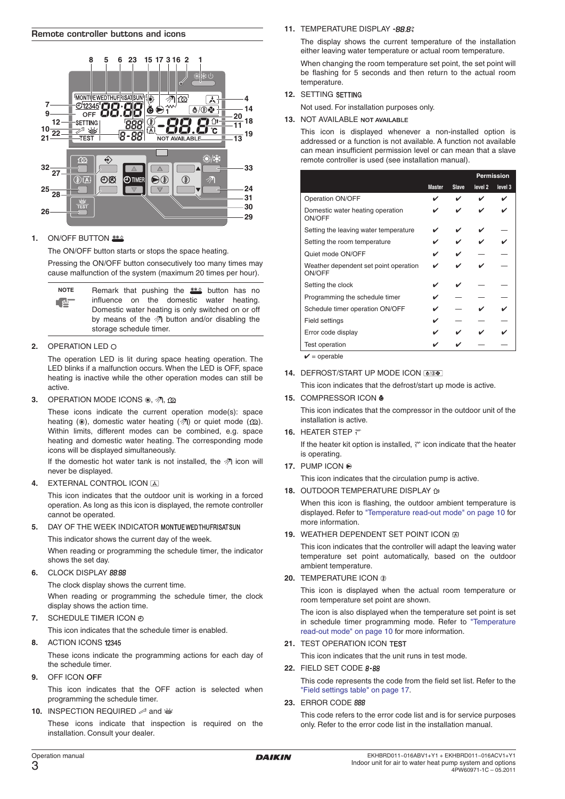<span id="page-3-0"></span>

# **1.** ON/OFF BUTTON

The ON/OFF button starts or stops the space heating.

Pressing the ON/OFF button consecutively too many times may cause malfunction of the system (maximum 20 times per hour).

| <b>NOTE</b> | Remark that pushing the <sup>186</sup> button has no                                          |
|-------------|-----------------------------------------------------------------------------------------------|
| 理工          | influence on the domestic water heating.<br>Domestic water heating is only switched on or off |
|             | by means of the $\mathcal{D}$ button and/or disabling the                                     |
|             | storage schedule timer.                                                                       |

# **2.** OPERATION LED

The operation LED is lit during space heating operation. The LED blinks if a malfunction occurs. When the LED is OFF, space heating is inactive while the other operation modes can still be active.

**3. OPERATION MODE ICONS , A, 122** 

These icons indicate the current operation mode(s): space heating  $(*)$ , domestic water heating  $(\mathcal{N})$  or quiet mode  $(\mathcal{Q})$ . Within limits, different modes can be combined, e.g. space heating and domestic water heating. The corresponding mode icons will be displayed simultaneously.

If the domestic hot water tank is not installed, the  $\mathcal N$  icon will never be displayed.

**4.** EXTERNAL CONTROL ICON

This icon indicates that the outdoor unit is working in a forced operation. As long as this icon is displayed, the remote controller cannot be operated.

**5.** DAY OF THE WEEK INDICATOR

This indicator shows the current day of the week.

When reading or programming the schedule timer, the indicator shows the set day.

**6.** CLOCK DISPLAY

The clock display shows the current time.

When reading or programming the schedule timer, the clock display shows the action time.

- **7.** SCHEDULE TIMER ICON
	- This icon indicates that the schedule timer is enabled.
- **8.** ACTION ICONS

These icons indicate the programming actions for each day of the schedule timer.

**9. OFF ICON OFF** 

This icon indicates that the OFF action is selected when programming the schedule timer.

10. INSPECTION REQUIRED  $\mathcal{P}$  and  $\ddot{\mathbf{\omega}}$ 

These icons indicate that inspection is required on the installation. Consult your dealer.

# **11. TEMPERATURE DISPLAY -88.8%**

The display shows the current temperature of the installation either leaving water temperature or actual room temperature. When changing the room temperature set point, the set point will be flashing for 5 seconds and then return to the actual room temperature.

**12.** SETTING

Not used. For installation purposes only.

**13.** NOT AVAILABLE

This icon is displayed whenever a non-installed option is addressed or a function is not available. A function not available can mean insufficient permission level or can mean that a slave remote controller is used (see installation manual).

|                                                 |               |              |         | <b>Permission</b> |
|-------------------------------------------------|---------------|--------------|---------|-------------------|
|                                                 | <b>Master</b> | <b>Slave</b> | level 2 | level 3           |
| Operation ON/OFF                                | ✓             |              |         | ✓                 |
| Domestic water heating operation<br>ON/OFF      | ✓             | ✓            | ✓       | ✓                 |
| Setting the leaving water temperature           | ✓             | ✓            |         |                   |
| Setting the room temperature                    | ✓             |              |         |                   |
| Quiet mode ON/OFF                               | ✓             | ✓            |         |                   |
| Weather dependent set point operation<br>ON/OFF | ✓             | ✔            |         |                   |
| Setting the clock                               | ✓             | ✔            |         |                   |
| Programming the schedule timer                  |               |              |         |                   |
| Schedule timer operation ON/OFF                 | ✓             |              |         | $\mathbf{v}$      |
| Field settings                                  | ✓             |              |         |                   |
| Error code display                              | ✓             |              |         |                   |
| <b>Test operation</b>                           | ✓             |              |         |                   |

 $\mathbf{v}$  = operable

**14. DEFROST/START UP MODE ICON 6/00** 

This icon indicates that the defrost/start up mode is active.

**15.** COMPRESSOR ICON

This icon indicates that the compressor in the outdoor unit of the installation is active.

**16.** HEATER STEP

If the heater kit option is installed,  $\tilde{f}$  icon indicate that the heater is operating.

**17.** PUMP ICON

This icon indicates that the circulation pump is active.

**18. OUTDOOR TEMPERATURE DISPLAY OF** 

When this icon is flashing, the outdoor ambient temperature is displayed. Refer to ["Temperature read-out mode" on page 10](#page-10-0) for more information.

**19. WEATHER DEPENDENT SET POINT ICON ED** 

This icon indicates that the controller will adapt the leaving water temperature set point automatically, based on the outdoor ambient temperature.

**20.** TEMPERATURE ICON

This icon is displayed when the actual room temperature or room temperature set point are shown.

The icon is also displayed when the temperature set point is set in schedule timer programming mode. Refer to ["Temperature](#page-10-0) [read-out mode" on page 10](#page-10-0) for more information.

**21.** TEST OPERATION ICON

This icon indicates that the unit runs in test mode.

**22.** FIELD SET CODE

This code represents the code from the field set list. Refer to the ["Field settings table" on page 17](#page-17-0).

**23.** ERROR CODE

This code refers to the error code list and is for service purposes only. Refer to the error code list in the installation manual.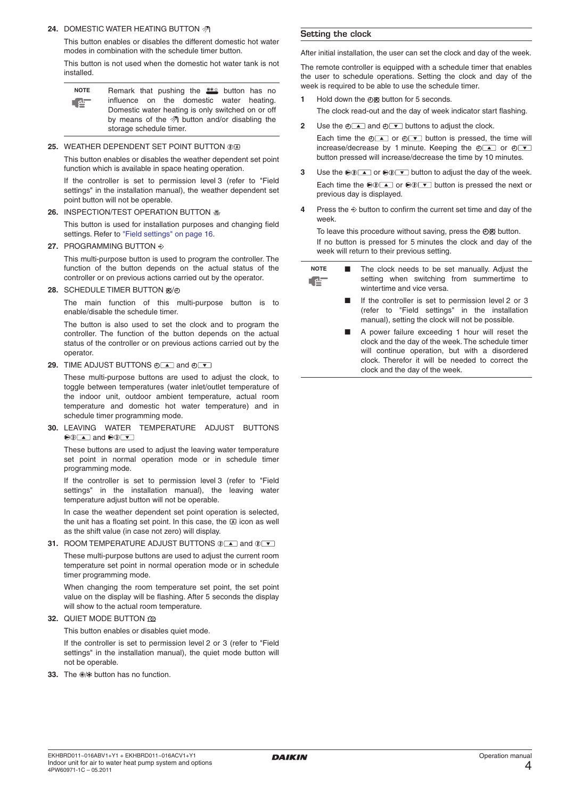# **24. DOMESTIC WATER HEATING BUTTON <sup>2</sup>**

This button enables or disables the different domestic hot water modes in combination with the schedule timer button.

This button is not used when the domestic hot water tank is not installed.

| <b>NOTE</b> | Remark that pushing the <sup>186</sup> button has no      |
|-------------|-----------------------------------------------------------|
| 吧           | influence on the domestic water heating.                  |
|             | Domestic water heating is only switched on or off         |
|             | by means of the $\mathcal{D}$ button and/or disabling the |
|             | storage schedule timer.                                   |

#### **25.** WEATHER DEPENDENT SET POINT BUTTON

This button enables or disables the weather dependent set point function which is available in space heating operation.

If the controller is set to permission level 3 (refer to "Field settings" in the installation manual), the weather dependent set point button will not be operable.

**26.** INSPECTION/TEST OPERATION BUTTON

This button is used for installation purposes and changing field settings. Refer to ["Field settings" on page 16](#page-16-0).

**27.** PROGRAMMING BUTTON

This multi-purpose button is used to program the controller. The function of the button depends on the actual status of the controller or on previous actions carried out by the operator.

**28.** SCHEDULE TIMER BUTTON  $\otimes$ / $\odot$ 

The main function of this multi-purpose button is to enable/disable the schedule timer.

The button is also used to set the clock and to program the controller. The function of the button depends on the actual status of the controller or on previous actions carried out by the operator.

**29.** TIME ADJUST BUTTONS  $\oplus \Box$  and  $\oplus \Box$ 

These multi-purpose buttons are used to adjust the clock, to toggle between temperatures (water inlet/outlet temperature of the indoor unit, outdoor ambient temperature, actual room temperature and domestic hot water temperature) and in schedule timer programming mode.

**30.** LEAVING WATER TEMPERATURE ADJUST BUTTONS  $\odot$   $\rightarrow$  and  $\odot$   $\rightarrow$ 

These buttons are used to adjust the leaving water temperature set point in normal operation mode or in schedule timer programming mode.

If the controller is set to permission level 3 (refer to "Field settings" in the installation manual), the leaving water temperature adjust button will not be operable.

In case the weather dependent set point operation is selected, the unit has a floating set point. In this case, the  $E$  icon as well as the shift value (in case not zero) will display.

**31. ROOM TEMPERATURE ADJUST BUTTONS**  $\mathbb{R}$  **and**  $\mathbb{R}$ 

These multi-purpose buttons are used to adjust the current room temperature set point in normal operation mode or in schedule timer programming mode.

When changing the room temperature set point, the set point value on the display will be flashing. After 5 seconds the display will show to the actual room temperature.

**32.** QUIET MODE BUTTON

This button enables or disables quiet mode.

If the controller is set to permission level 2 or 3 (refer to "Field settings" in the installation manual), the quiet mode button will not be operable.

**33.** The \*\* button has no function.

# <span id="page-4-0"></span>**Setting the clock**

After initial installation, the user can set the clock and day of the week.

The remote controller is equipped with a schedule timer that enables the user to schedule operations. Setting the clock and day of the week is required to be able to use the schedule timer.

- **1** Hold down the  $\Theta$  $\otimes$  button for 5 seconds. The clock read-out and the day of week indicator start flashing.
- **2** Use the  $\odot$  **A** and  $\odot$  **v** buttons to adjust the clock. Each time the  $\bigcirc \blacktriangle$  or  $\bigcirc \blacktriangledown$  button is pressed, the time will increase/decrease by 1 minute. Keeping the  $\bigcirc \blacktriangle$  or  $\bigcirc \blacktriangledown$ button pressed will increase/decrease the time by 10 minutes.
- **3** Use the  $\Theta$   $\Box$  or  $\Theta$   $\Box$  button to adjust the day of the week. Each time the  $\bigcirc$   $\bullet$   $\bullet$  or  $\bigcirc$   $\bullet$  button is pressed the next or previous day is displayed.
- **4** Press the  $\triangle$  button to confirm the current set time and day of the week.

To leave this procedure without saving, press the  $\Theta\otimes$  button. If no button is pressed for 5 minutes the clock and day of the week will return to their previous setting.

- **NOTE** The clock needs to be set manually. Adjust the  $\mathbb{R}^+$ setting when switching from summertime to wintertime and vice versa.
	- If the controller is set to permission level 2 or 3 (refer to "Field settings" in the installation manual), setting the clock will not be possible.
	- A power failure exceeding 1 hour will reset the clock and the day of the week. The schedule timer will continue operation, but with a disordered clock. Therefor it will be needed to correct the clock and the day of the week.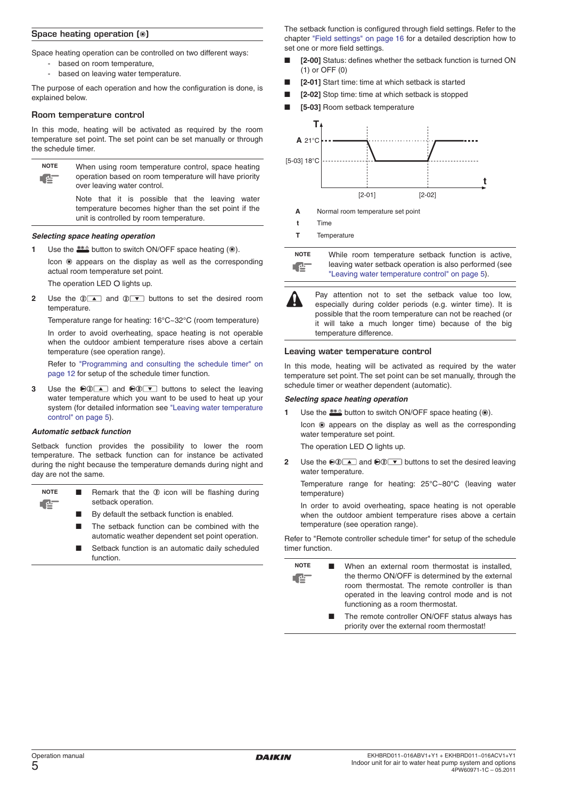# <span id="page-5-0"></span>**Space heating operation ( )**

Space heating operation can be controlled on two different ways:

- based on room temperature,
- based on leaving water temperature.

The purpose of each operation and how the configuration is done, is explained below.

#### <span id="page-5-1"></span>**Room temperature control**

In this mode, heating will be activated as required by the room temperature set point. The set point can be set manually or through the schedule timer.



Note that it is possible that the leaving water temperature becomes higher than the set point if the unit is controlled by room temperature.

#### *Selecting space heating operation*

1 Use the  $\frac{***}{}$  button to switch ON/OFF space heating (.).

Icon  $*$  appears on the display as well as the corresponding actual room temperature set point.

The operation LED  $\bigcirc$  lights up.

**2** Use the  $\mathbb{D}$  **A** and  $\mathbb{D}$  **v** buttons to set the desired room temperature.

Temperature range for heating: 16°C~32°C (room temperature)

In order to avoid overheating, space heating is not operable when the outdoor ambient temperature rises above a certain temperature (see operation range).

Refer to ["Programming and consulting the schedule timer" on](#page-12-2) [page 12](#page-12-2) for setup of the schedule timer function.

**3** Use the  $\bigcirc$  **and**  $\bigcirc$   $\bullet$  **v** buttons to select the leaving water temperature which you want to be used to heat up your system (for detailed information see ["Leaving water temperature](#page-5-2) [control" on page 5](#page-5-2)).

#### *Automatic setback function*

Setback function provides the possibility to lower the room temperature. The setback function can for instance be activated during the night because the temperature demands during night and day are not the same.

| <b>NOTE</b> | Remark that the $\mathbb G$ icon will be flashing during |  |  |  |  |
|-------------|----------------------------------------------------------|--|--|--|--|
| 【雪】         | setback operation.                                       |  |  |  |  |

- By default the setback function is enabled.
- The setback function can be combined with the automatic weather dependent set point operation.
- Setback function is an automatic daily scheduled function.

The setback function is configured through field settings. Refer to the chapter ["Field settings" on page 16](#page-16-0) for a detailed description how to set one or more field settings.

- **[2-00]** Status: defines whether the setback function is turned ON (1) or OFF (0)
- [2-01] Start time: time at which setback is started
- [2-02] Stop time: time at which setback is stopped
- **[5-03]** Room setback temperature



**A** Normal room temperature set point

**t** Time

**T** Temperature

**NOTE** While room temperature setback function is active, leaving water setback operation is also performed (see 一些 ["Leaving water temperature control" on page 5\)](#page-5-2).

Pay attention not to set the setback value too low, especially during colder periods (e.g. winter time). It is possible that the room temperature can not be reached (or it will take a much longer time) because of the big temperature difference.

#### <span id="page-5-2"></span>**Leaving water temperature control**

In this mode, heating will be activated as required by the water temperature set point. The set point can be set manually, through the schedule timer or weather dependent (automatic).

#### *Selecting space heating operation*

- Use the  $\frac{***}{}$  button to switch ON/OFF space heating (.). Icon  $*$  appears on the display as well as the corresponding water temperature set point. The operation LED  $\bigcirc$  lights up.
- **2** Use the  $\bigcirc$  **1** and  $\bigcirc$  **1** buttons to set the desired leaving water temperature.

Temperature range for heating: 25°C~80°C (leaving water temperature)

In order to avoid overheating, space heating is not operable when the outdoor ambient temperature rises above a certain temperature (see operation range).

Refer to "Remote controller schedule timer" for setup of the schedule timer function.



The remote controller ON/OFF status always has priority over the external room thermostat!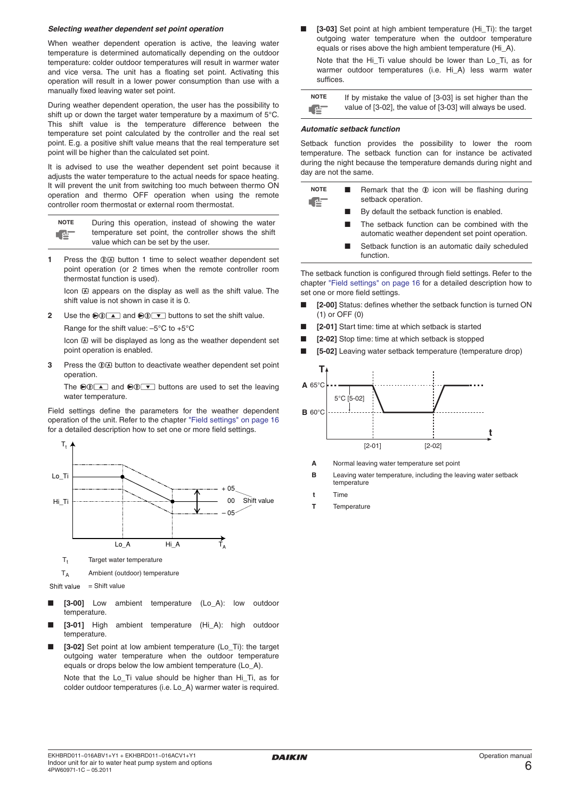#### *Selecting weather dependent set point operation*

When weather dependent operation is active, the leaving water temperature is determined automatically depending on the outdoor temperature: colder outdoor temperatures will result in warmer water and vice versa. The unit has a floating set point. Activating this operation will result in a lower power consumption than use with a manually fixed leaving water set point.

During weather dependent operation, the user has the possibility to shift up or down the target water temperature by a maximum of 5°C. This shift value is the temperature difference between the temperature set point calculated by the controller and the real set point. E.g. a positive shift value means that the real temperature set point will be higher than the calculated set point.

It is advised to use the weather dependent set point because it adjusts the water temperature to the actual needs for space heating. It will prevent the unit from switching too much between thermo ON operation and thermo OFF operation when using the remote controller room thermostat or external room thermostat.

| <b>NOTE</b> | During this operation, instead of showing the water                                          |
|-------------|----------------------------------------------------------------------------------------------|
| <b>【图】</b>  | temperature set point, the controller shows the shift<br>value which can be set by the user. |

**1** Press the  $\mathbb{D}(\overline{A})$  button 1 time to select weather dependent set point operation (or 2 times when the remote controller room thermostat function is used).

Icon  $\overline{A}$  appears on the display as well as the shift value. The shift value is not shown in case it is 0.

- **2** Use the  $\bigcirc \mathbb{R}$  and  $\bigcirc \mathbb{R}$  buttons to set the shift value.
	- Range for the shift value: –5°C to +5°C

Icon  $[4]$  will be displayed as long as the weather dependent set point operation is enabled.

**3** Press the  $\mathbb{O}(\vec{A})$  button to deactivate weather dependent set point operation.

The  $\bigcirc$   $\Box$  and  $\bigcirc$   $\circ$   $\Box$  buttons are used to set the leaving water temperature.

Field settings define the parameters for the weather dependent operation of the unit. Refer to the chapter ["Field settings" on page 16](#page-16-0) for a detailed description how to set one or more field settings.



 $T_t$  Target water temperature

 $T_A$  Ambient (outdoor) temperature

Shift value = Shift value

- **[3-00]** Low ambient temperature (Lo\_A): low outdoor temperature.
- [3-01] High ambient temperature (Hi\_A): high outdoor temperature.
- [3-02] Set point at low ambient temperature (Lo\_Ti): the target outgoing water temperature when the outdoor temperature equals or drops below the low ambient temperature (Lo\_A).

Note that the Lo\_Ti value should be higher than Hi\_Ti, as for colder outdoor temperatures (i.e. Lo\_A) warmer water is required. [3-03] Set point at high ambient temperature (Hi\_Ti): the target outgoing water temperature when the outdoor temperature equals or rises above the high ambient temperature (Hi\_A).

Note that the Hi\_Ti value should be lower than Lo\_Ti, as for warmer outdoor temperatures (i.e. Hi A) less warm water suffices.

| <b>NOTE</b> | If by mistake the value of [3-03] is set higher than the  |
|-------------|-----------------------------------------------------------|
| <b>FREE</b> | value of [3-02], the value of [3-03] will always be used. |

#### *Automatic setback function*

Setback function provides the possibility to lower the room temperature. The setback function can for instance be activated during the night because the temperature demands during night and day are not the same.

| <b>NOTE</b><br><b>【生】</b> | Remark that the <i>D</i> icon will be flashing during<br>setback operation.                       |
|---------------------------|---------------------------------------------------------------------------------------------------|
|                           | By default the setback function is enabled.                                                       |
|                           | The setback function can be combined with the<br>automatic weather dependent set point operation. |
|                           | Cathook function is an outamotic doily schooluled                                                 |

etback function is an automatic daily scheduled function.

The setback function is configured through field settings. Refer to the chapter ["Field settings" on page 16](#page-16-0) for a detailed description how to set one or more field settings.

- **[2-00]** Status: defines whether the setback function is turned ON (1) or OFF (0)
- [2-01] Start time: time at which setback is started
- **[2-02]** Stop time: time at which setback is stopped
- **[5-02]** Leaving water setback temperature (temperature drop)



**A** Normal leaving water temperature set point

- **B** Leaving water temperature, including the leaving water setback temperature
- **t** Time
- **T** Temperature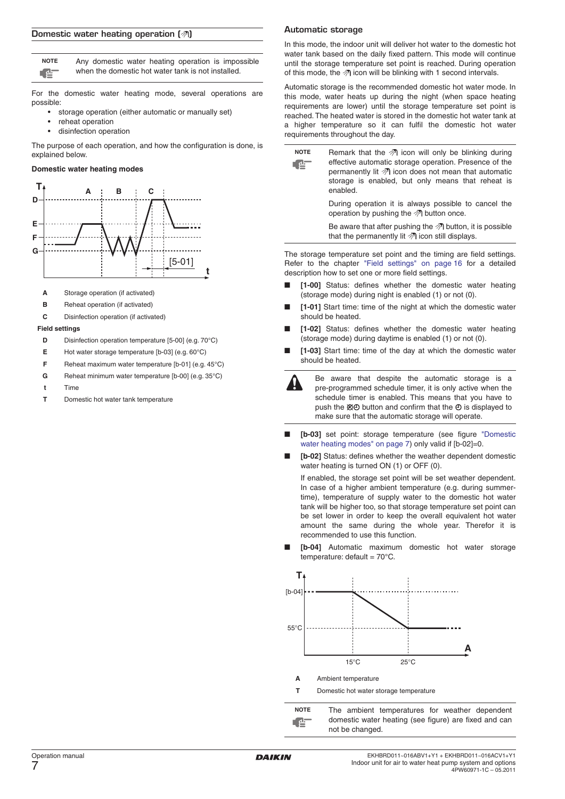#### <span id="page-7-1"></span>**Domestic water heating operation ( )**

| <b>NOTE</b> | Any domestic water heating operation is impossible |
|-------------|----------------------------------------------------|
| 吧           | when the domestic hot water tank is not installed. |

For the domestic water heating mode, several operations are possible:

- storage operation (either automatic or manually set)
- reheat operation
- disinfection operation

The purpose of each operation, and how the configuration is done, is explained below.

#### <span id="page-7-2"></span>**Domestic water heating modes**



- **A** Storage operation (if activated)
- **B** Reheat operation (if activated)
- **C** Disinfection operation (if activated)

#### **Field settings**

- **D** Disinfection operation temperature [5-00] (e.g. 70°C)
- **E** Hot water storage temperature [b-03] (e.g. 60°C)
- **F** Reheat maximum water temperature [b-01] (e.g. 45°C)
- **G** Reheat minimum water temperature [b-00] (e.g. 35°C)
- **t** Time
- **T** Domestic hot water tank temperature

#### <span id="page-7-0"></span>**Automatic storage**

In this mode, the indoor unit will deliver hot water to the domestic hot water tank based on the daily fixed pattern. This mode will continue until the storage temperature set point is reached. During operation of this mode, the  $\mathcal N$  icon will be blinking with 1 second intervals.

Automatic storage is the recommended domestic hot water mode. In this mode, water heats up during the night (when space heating requirements are lower) until the storage temperature set point is reached. The heated water is stored in the domestic hot water tank at a higher temperature so it can fulfil the domestic hot water requirements throughout the day.

| <b>NOTE</b><br>Œ | Remark that the $\sqrt{2}$ icon will only be blinking during<br>effective automatic storage operation. Presence of the<br>permanently lit $\mathcal{P}$ icon does not mean that automatic<br>storage is enabled, but only means that reheat is<br>enabled. |
|------------------|------------------------------------------------------------------------------------------------------------------------------------------------------------------------------------------------------------------------------------------------------------|
|                  | During operation it is always possible to cancel the<br>operation by pushing the $\mathcal{P}$ button once.                                                                                                                                                |

Be aware that after pushing the  $\mathcal{D}$  button, it is possible that the permanently lit  $\mathcal{P}$  icon still displays.

The storage temperature set point and the timing are field settings. Refer to the chapter ["Field settings" on page 16](#page-16-0) for a detailed description how to set one or more field settings.

- [1-00] Status: defines whether the domestic water heating (storage mode) during night is enabled (1) or not (0).
- [1-01] Start time: time of the night at which the domestic water should be heated.
- **[1-02]** Status: defines whether the domestic water heating (storage mode) during daytime is enabled (1) or not (0).
- [1-03] Start time: time of the day at which the domestic water should be heated.

Be aware that despite the automatic storage is a pre-programmed schedule timer, it is only active when the schedule timer is enabled. This means that you have to push the  $\mathfrak{B}\oplus$  button and confirm that the  $\oplus$  is displayed to make sure that the automatic storage will operate.

- **[b-03]** set point: storage temperature (see figure ["Domestic](#page-7-2) [water heating modes" on page 7\)](#page-7-2) only valid if [b-02]=0.
- **[b-02]** Status: defines whether the weather dependent domestic water heating is turned ON (1) or OFF (0).

If enabled, the storage set point will be set weather dependent. In case of a higher ambient temperature (e.g. during summertime), temperature of supply water to the domestic hot water tank will be higher too, so that storage temperature set point can be set lower in order to keep the overall equivalent hot water amount the same during the whole year. Therefor it is recommended to use this function.

[b-04] Automatic maximum domestic hot water storage temperature: default =  $70^{\circ}$ C.



**A** Ambient temperature

**T** Domestic hot water storage temperature

**NOTE** The ambient temperatures for weather dependent domestic water heating (see figure) are fixed and can 다 그 not be changed.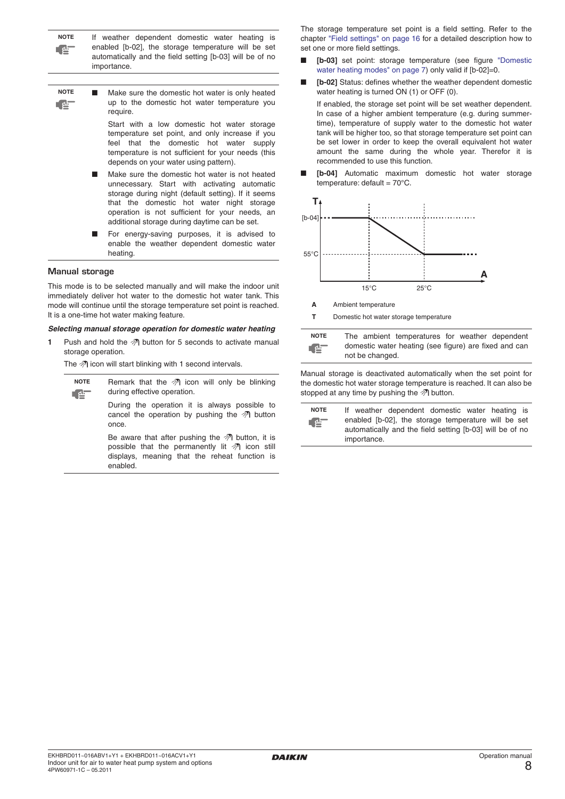| <b>NOTE</b> | If weather dependent domestic water heating is                                                                                 |
|-------------|--------------------------------------------------------------------------------------------------------------------------------|
| <b>【坐】</b>  | enabled [b-02], the storage temperature will be set<br>automatically and the field setting [b-03] will be of no<br>importance. |

| <b>NOTE</b><br>تكع | Make sure the domestic hot water is only heated<br>up to the domestic hot water temperature you<br>require.                                                                                                                                                                                           |
|--------------------|-------------------------------------------------------------------------------------------------------------------------------------------------------------------------------------------------------------------------------------------------------------------------------------------------------|
|                    | Start with a low domestic hot water storage<br>temperature set point, and only increase if you<br>feel that the domestic hot water supply<br>temperature is not sufficient for your needs (this<br>depends on your water using pattern).                                                              |
|                    | Make sure the domestic hot water is not heated<br>unnecessary. Start with activating automatic<br>storage during night (default setting). If it seems<br>that the domestic hot water night storage<br>operation is not sufficient for your needs, an<br>additional storage during daytime can be set. |
|                    | For energy-saving purposes, it is advised to<br>enable the weather dependent domestic water                                                                                                                                                                                                           |

# enable the weather dependent domestic water heating.

# <span id="page-8-0"></span>**Manual storage**

This mode is to be selected manually and will make the indoor unit immediately deliver hot water to the domestic hot water tank. This mode will continue until the storage temperature set point is reached. It is a one-time hot water making feature.

#### *Selecting manual storage operation for domestic water heating*

**1** Push and hold the  $\mathcal{P}$  button for 5 seconds to activate manual storage operation.

The  $\mathcal{D}$  icon will start blinking with 1 second intervals.

| <b>NOTE</b><br>$\blacksquare$ | Remark that the $\mathcal{P}$ icon will only be blinking<br>during effective operation.                                                                                                |
|-------------------------------|----------------------------------------------------------------------------------------------------------------------------------------------------------------------------------------|
|                               | During the operation it is always possible to<br>cancel the operation by pushing the $\mathcal{P}$ button<br>once.                                                                     |
|                               | Be aware that after pushing the $\mathcal{P}$ button, it is<br>possible that the permanently lit $\mathcal{P}$ icon still<br>displays, meaning that the reheat function is<br>enabled. |

The storage temperature set point is a field setting. Refer to the chapter ["Field settings" on page 16](#page-16-0) for a detailed description how to set one or more field settings.

- **[b-03]** set point: storage temperature (see figure ["Domestic](#page-7-2) [water heating modes" on page 7\)](#page-7-2) only valid if  $[b-02]=0$ .
- [b-02] Status: defines whether the weather dependent domestic water heating is turned ON (1) or OFF (0).

If enabled, the storage set point will be set weather dependent. In case of a higher ambient temperature (e.g. during summertime), temperature of supply water to the domestic hot water tank will be higher too, so that storage temperature set point can be set lower in order to keep the overall equivalent hot water amount the same during the whole year. Therefor it is recommended to use this function.

[b-04] Automatic maximum domestic hot water storage temperature: default = 70°C.



**A** Ambient temperature

**T** Domestic hot water storage temperature



Manual storage is deactivated automatically when the set point for the domestic hot water storage temperature is reached. It can also be stopped at any time by pushing the  $\mathcal D$  button.

**NOTE** If weather dependent domestic water heating is enabled [b-02], the storage temperature will be set  $\mathbb{R}^+$ automatically and the field setting [b-03] will be of no importance.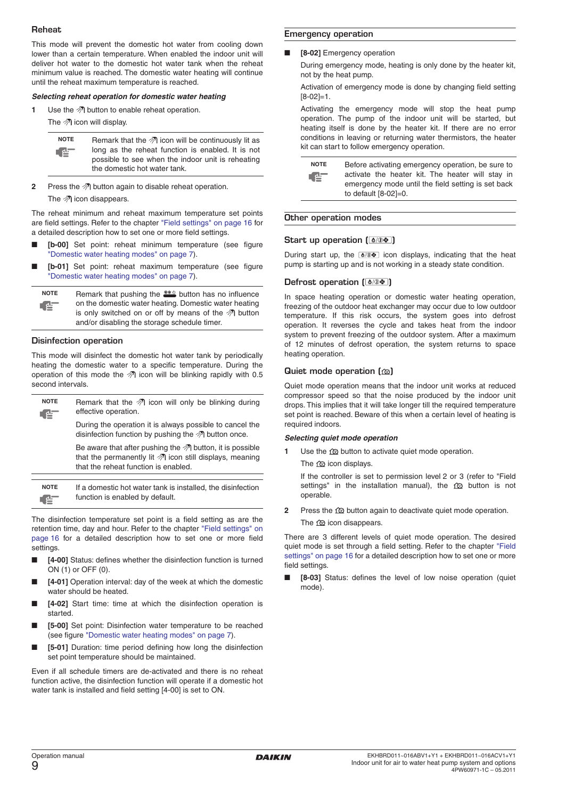## <span id="page-9-1"></span>**Reheat**

This mode will prevent the domestic hot water from cooling down lower than a certain temperature. When enabled the indoor unit will deliver hot water to the domestic hot water tank when the reheat minimum value is reached. The domestic water heating will continue until the reheat maximum temperature is reached.

#### *Selecting reheat operation for domestic water heating*

**1** Use the *D* button to enable reheat operation.

The  $\mathcal{D}$  icon will display.

| <b>NOTE</b> | Remark that the $\mathcal{P}$ icon will be continuously lit as                                                                         |
|-------------|----------------------------------------------------------------------------------------------------------------------------------------|
| <b>【生】</b>  | long as the reheat function is enabled. It is not<br>possible to see when the indoor unit is reheating<br>the domestic hot water tank. |
|             |                                                                                                                                        |

**2** Press the  $\mathcal{P}$  button again to disable reheat operation.

The  $\mathcal{D}$  icon disappears.

The reheat minimum and reheat maximum temperature set points are field settings. Refer to the chapter ["Field settings" on page 16](#page-16-0) for a detailed description how to set one or more field settings.

- [b-00] Set point: reheat minimum temperature (see figure ["Domestic water heating modes" on page 7\)](#page-7-2).
- **[b-01]** Set point: reheat maximum temperature (see figure ["Domestic water heating modes" on page 7\)](#page-7-2).

| <b>NOTE</b> | Remark that pushing the $200$ button has no influence                                                                                                                    |
|-------------|--------------------------------------------------------------------------------------------------------------------------------------------------------------------------|
| <b>【生】</b>  | on the domestic water heating. Domestic water heating<br>is only switched on or off by means of the $\mathcal{D}$ button<br>and/or disabling the storage schedule timer. |

#### <span id="page-9-2"></span>**Disinfection operation**

This mode will disinfect the domestic hot water tank by periodically heating the domestic water to a specific temperature. During the operation of this mode the  $\mathcal{P}$  icon will be blinking rapidly with 0.5 second intervals.

| <b>NOTE</b> | Remark that the $\mathcal{D}$ icon will only be blinking during<br>effective operation.                                                                                            |
|-------------|------------------------------------------------------------------------------------------------------------------------------------------------------------------------------------|
|             | During the operation it is always possible to cancel the<br>disinfection function by pushing the $\mathcal{P}$ button once.                                                        |
|             | Be aware that after pushing the $\mathbb{R}$ button, it is possible<br>that the permanently lit $\mathcal{P}$ icon still displays, meaning<br>that the reheat function is enabled. |

**NOTE** If a domestic hot water tank is installed, the disinfection 喔 function is enabled by default.

The disinfection temperature set point is a field setting as are the retention time, day and hour. Refer to the chapter ["Field settings" on](#page-16-0) [page 16](#page-16-0) for a detailed description how to set one or more field settings.

- [4-00] Status: defines whether the disinfection function is turned ON (1) or OFF (0).
- [4-01] Operation interval: day of the week at which the domestic water should be heated.
- [4-02] Start time: time at which the disinfection operation is started.
- [5-00] Set point: Disinfection water temperature to be reached (see figure ["Domestic water heating modes" on page 7\)](#page-7-2).
- **[5-01]** Duration: time period defining how long the disinfection set point temperature should be maintained.

Even if all schedule timers are de-activated and there is no reheat function active, the disinfection function will operate if a domestic hot water tank is installed and field setting [4-00] is set to ON.

# <span id="page-9-6"></span>**Emergency operation**

**[8-02]** Emergency operation

During emergency mode, heating is only done by the heater kit, not by the heat pump.

Activation of emergency mode is done by changing field setting  $[8-02]=1$ .

Activating the emergency mode will stop the heat pump operation. The pump of the indoor unit will be started, but heating itself is done by the heater kit. If there are no error conditions in leaving or returning water thermistors, the heater kit can start to follow emergency operation.

| <b>NOTE</b> | Before activating emergency operation, be sure to                                                                                 |
|-------------|-----------------------------------------------------------------------------------------------------------------------------------|
| 【 尘】        | activate the heater kit. The heater will stay in<br>emergency mode until the field setting is set back<br>to default $[8-02]=0$ . |
|             |                                                                                                                                   |

## <span id="page-9-0"></span>**Other operation modes**

## <span id="page-9-3"></span>**Start up operation (** $\circ$ **)**

During start up, the  $\circledast$  icon displays, indicating that the heat pump is starting up and is not working in a steady state condition.

# <span id="page-9-4"></span>**Defrost operation (** $\circ$ **)**

In space heating operation or domestic water heating operation, freezing of the outdoor heat exchanger may occur due to low outdoor temperature. If this risk occurs, the system goes into defrost operation. It reverses the cycle and takes heat from the indoor system to prevent freezing of the outdoor system. After a maximum of 12 minutes of defrost operation, the system returns to space heating operation.

## <span id="page-9-5"></span>**Quiet mode operation ( )**

Quiet mode operation means that the indoor unit works at reduced compressor speed so that the noise produced by the indoor unit drops. This implies that it will take longer till the required temperature set point is reached. Beware of this when a certain level of heating is required indoors.

#### *Selecting quiet mode operation*

**1** Use the  $\textcircled{2}$  button to activate quiet mode operation.

The  $\textcircled{\texttt{m}}$  icon displays.

If the controller is set to permission level 2 or 3 (refer to "Field settings" in the installation manual), the  $f \circledR$  button is not operable.

**2** Press the  $\textcircled{2}$  button again to deactivate quiet mode operation.

The  $\textcircled{\textcircled{\tiny{2}}}$  icon disappears.

There are 3 different levels of quiet mode operation. The desired quiet mode is set through a field setting. Refer to the chapter ["Field](#page-16-0) [settings" on page 16](#page-16-0) for a detailed description how to set one or more field settings.

**[8-03]** Status: defines the level of low noise operation (quiet mode).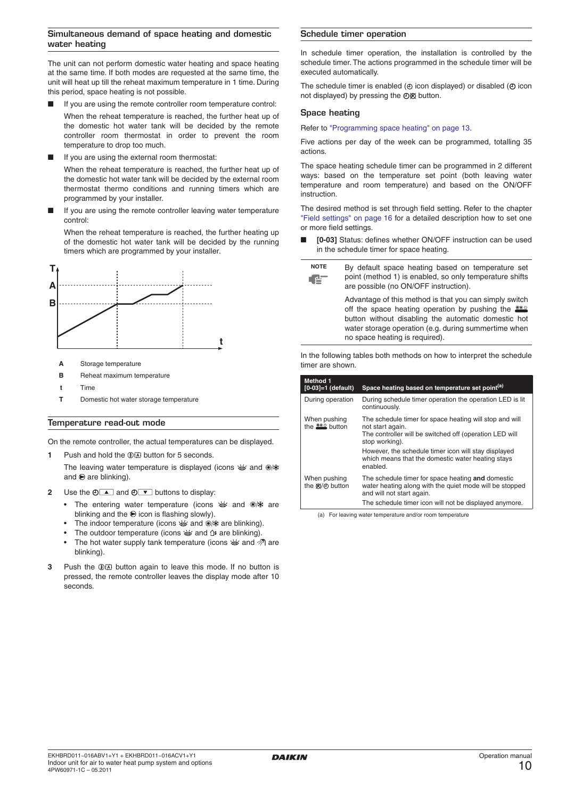# <span id="page-10-3"></span>**Simultaneous demand of space heating and domestic water heating**

The unit can not perform domestic water heating and space heating at the same time. If both modes are requested at the same time, the unit will heat up till the reheat maximum temperature in 1 time. During this period, space heating is not possible.

If you are using the remote controller room temperature control:

When the reheat temperature is reached, the further heat up of the domestic hot water tank will be decided by the remote controller room thermostat in order to prevent the room temperature to drop too much.

If you are using the external room thermostat:

When the reheat temperature is reached, the further heat up of the domestic hot water tank will be decided by the external room thermostat thermo conditions and running timers which are programmed by your installer.

If you are using the remote controller leaving water temperature control:

When the reheat temperature is reached, the further heating up of the domestic hot water tank will be decided by the running timers which are programmed by your installer.



- A Storage temperature timer are shown.
- **B** Reheat maximum temperature
- **t** Time
- **T** Domestic hot water storage temperature

## <span id="page-10-0"></span>**Temperature read-out mode**

On the remote controller, the actual temperatures can be displayed.

**1** Push and hold the **DE** button for 5 seconds.

The leaving water temperature is displayed (icons  $\dot{\otimes}$  and  $\ddot{\ddot{\otimes}}$ and  $\Theta$  are blinking).

- **2** Use the  $\bigoplus$  **A** and  $\bigoplus$  **v** buttons to display:
	- The entering water temperature (icons  $\otimes$  and  $\otimes$ ) are blinking and the  $\odot$  icon is flashing slowly).
	- The indoor temperature (icons  $\dot{\otimes}$  and  $\dot{\ast}$  are blinking).
	- The outdoor temperature (icons  $\dot{\otimes}$  and  $\hat{\Omega}$  are blinking).
	- The hot water supply tank temperature (icons  $\dot{\otimes}$  and  $\dot{\otimes}$  are blinking).
- **3** Push the  $\mathbb{D}(\mathbb{Z})$  button again to leave this mode. If no button is pressed, the remote controller leaves the display mode after 10 seconds.

# <span id="page-10-2"></span>**Schedule timer operation**

In schedule timer operation, the installation is controlled by the schedule timer. The actions programmed in the schedule timer will be executed automatically.

The schedule timer is enabled ( $\oplus$  icon displayed) or disabled ( $\oplus$  icon not displayed) by pressing the  $\Theta\otimes$  button.

# <span id="page-10-1"></span>**Space heating**

Refer to ["Programming space heating" on page 13](#page-13-0).

Five actions per day of the week can be programmed, totalling 35 actions.

The space heating schedule timer can be programmed in 2 different ways: based on the temperature set point (both leaving water temperature and room temperature) and based on the ON/OFF instruction.

The desired method is set through field setting. Refer to the chapter ["Field settings" on page 16](#page-16-0) for a detailed description how to set one or more field settings.

[0-03] Status: defines whether ON/OFF instruction can be used in the schedule timer for space heating.

In the following tables both methods on how to interpret the schedule

| <b>Method 1</b><br>$[0-03]=1$ (default)   | Space heating based on temperature set point <sup>(a)</sup>                                                                                              |  |  |  |
|-------------------------------------------|----------------------------------------------------------------------------------------------------------------------------------------------------------|--|--|--|
| During operation                          | During schedule timer operation the operation LED is lit<br>continuously.                                                                                |  |  |  |
| When pushing<br>the <sup>***</sup> button | The schedule timer for space heating will stop and will<br>not start again.<br>The controller will be switched off (operation LED will<br>stop working). |  |  |  |
|                                           | However, the schedule timer icon will stay displayed<br>which means that the domestic water heating stays<br>enabled.                                    |  |  |  |
| When pushing<br>the ®/D button            | The schedule timer for space heating and domestic<br>water heating along with the quiet mode will be stopped<br>and will not start again.                |  |  |  |
|                                           | The schedule timer icon will not be displayed anymore.                                                                                                   |  |  |  |

(a) For leaving water temperature and/or room temperature

**NOTE** By default space heating based on temperature set point (method 1) is enabled, so only temperature shifts ┎╺╚ are possible (no ON/OFF instruction). Advantage of this method is that you can simply switch off the space heating operation by pushing the  $\frac{***}{}$ button without disabling the automatic domestic hot water storage operation (e.g. during summertime when no space heating is required).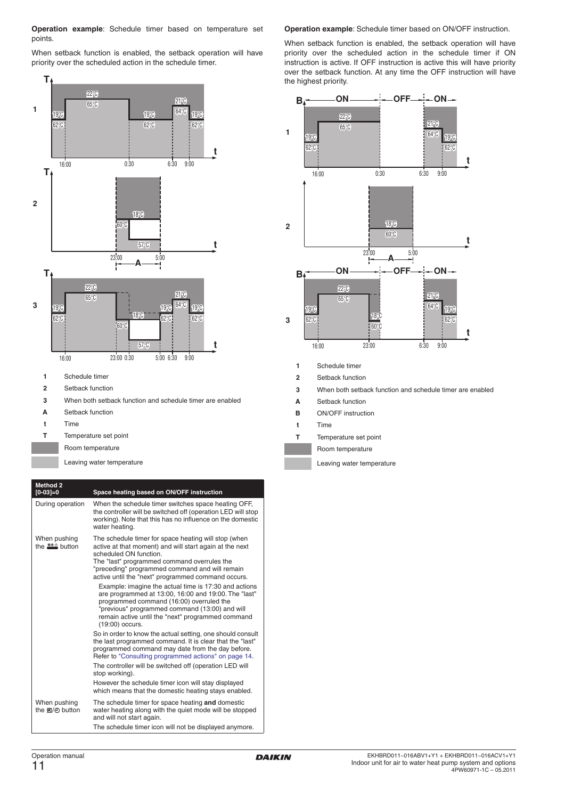**Operation example**: Schedule timer based on temperature set points.

When setback function is enabled, the setback operation will have priority over the scheduled action in the schedule timer.



#### **Method 2 [0-03]=0 Space heating based on ON/OFF instruction** During operation When the schedule timer switches space heating OFF, the controller will be switched off (operation LED will stop working). Note that this has no influence on the domestic water heating. When pushing the  $\overset{\circ\ast\circ}{\bullet}$  button The schedule timer for space heating will stop (when active at that moment) and will start again at the next scheduled ON function. The "last" programmed command overrules the "preceding" programmed command and will remain active until the "next" programmed command occurs. Example: imagine the actual time is 17:30 and actions are programmed at 13:00, 16:00 and 19:00. The "last" programmed command (16:00) overruled the "previous" programmed command (13:00) and will remain active until the "next" programmed command (19:00) occurs. So in order to know the actual setting, one should consult the last programmed command. It is clear that the "last" programmed command may date from the day before. Refer to ["Consulting programmed actions" on page 14.](#page-14-1) The controller will be switched off (operation LED will stop working). However the schedule timer icon will stay displayed which means that the domestic heating stays enabled. When pushing the  $\mathfrak{B}/\mathfrak{O}$  button The schedule timer for space heating **and** domestic water heating along with the quiet mode will be stopped and will not start again. The schedule timer icon will not be displayed anymore.

#### **Operation example**: Schedule timer based on ON/OFF instruction.

When setback function is enabled, the setback operation will have priority over the scheduled action in the schedule timer if ON instruction is active. If OFF instruction is active this will have priority over the setback function. At any time the OFF instruction will have the highest priority.



- Room temperature
- Leaving water temperature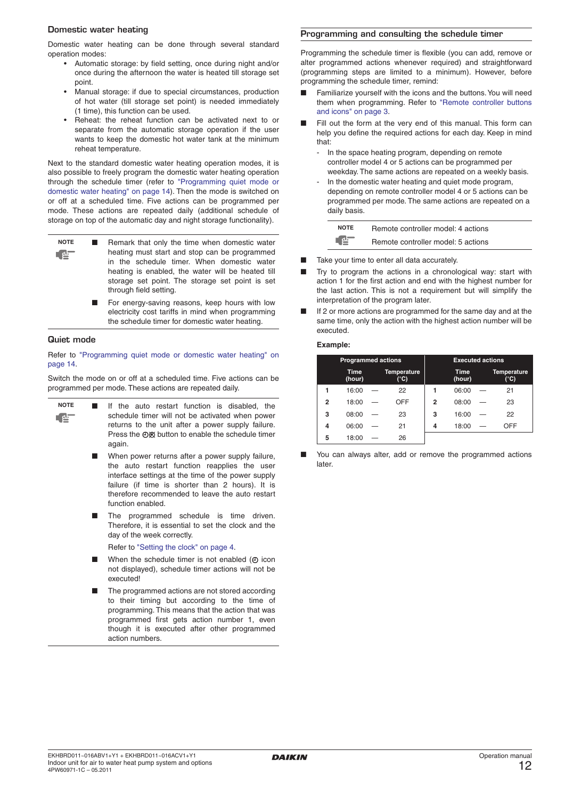# <span id="page-12-0"></span>**Domestic water heating**

Domestic water heating can be done through several standard operation modes:

- Automatic storage: by field setting, once during night and/or once during the afternoon the water is heated till storage set point.
- Manual storage: if due to special circumstances, production of hot water (till storage set point) is needed immediately (1 time), this function can be used.
- Reheat: the reheat function can be activated next to or separate from the automatic storage operation if the user wants to keep the domestic hot water tank at the minimum reheat temperature.

Next to the standard domestic water heating operation modes, it is also possible to freely program the domestic water heating operation through the schedule timer (refer to ["Programming quiet mode or](#page-14-0) [domestic water heating" on page 14](#page-14-0)). Then the mode is switched on or off at a scheduled time. Five actions can be programmed per mode. These actions are repeated daily (additional schedule of storage on top of the automatic day and night storage functionality).

| <b>NOTE</b> | Remark that only the time when domestic water     |  |  |  |  |  |  |
|-------------|---------------------------------------------------|--|--|--|--|--|--|
| <b>【生】</b>  | heating must start and stop can be programmed     |  |  |  |  |  |  |
|             | in the schedule timer. When domestic water        |  |  |  |  |  |  |
|             | heating is enabled, the water will be heated till |  |  |  |  |  |  |
|             | storage set point. The storage set point is set   |  |  |  |  |  |  |
|             | through field setting.                            |  |  |  |  |  |  |

For energy-saving reasons, keep hours with low electricity cost tariffs in mind when programming the schedule timer for domestic water heating.

## <span id="page-12-1"></span>**Quiet mode**

Refer to ["Programming quiet mode or domestic water heating" on](#page-14-0) [page 14](#page-14-0).

Switch the mode on or off at a scheduled time. Five actions can be programmed per mode. These actions are repeated daily.

| <b>NOTE</b> | If the auto restart function is disabled, the                                                                                                                      |
|-------------|--------------------------------------------------------------------------------------------------------------------------------------------------------------------|
| 【聖】         | schedule timer will not be activated when power<br>returns to the unit after a power supply failure.<br>Press the ⊕⊗ button to enable the schedule timer<br>again. |
|             | When power returns after a power supply failure,<br>the auto rectart function reapplies the user                                                                   |

- the auto restart function reapplies the user interface settings at the time of the power supply failure (if time is shorter than 2 hours). It is therefore recommended to leave the auto restart function enabled.
- The programmed schedule is time driven. Therefore, it is essential to set the clock and the day of the week correctly.
	- Refer to ["Setting the clock" on page 4](#page-4-0).
- When the schedule timer is not enabled  $(4)$  icon not displayed), schedule timer actions will not be executed!
- The programmed actions are not stored according to their timing but according to the time of programming. This means that the action that was programmed first gets action number 1, even though it is executed after other programmed action numbers.

# <span id="page-12-2"></span>**Programming and consulting the schedule timer**

Programming the schedule timer is flexible (you can add, remove or alter programmed actions whenever required) and straightforward (programming steps are limited to a minimum). However, before programming the schedule timer, remind:

- Familiarize yourself with the icons and the buttons. You will need them when programming. Refer to ["Remote controller buttons](#page-3-0) [and icons" on page 3.](#page-3-0)
- Fill out the form at the very end of this manual. This form can help you define the required actions for each day. Keep in mind that:
	- In the space heating program, depending on remote controller model 4 or 5 actions can be programmed per weekday. The same actions are repeated on a weekly basis.
	- In the domestic water heating and quiet mode program, depending on remote controller model 4 or 5 actions can be programmed per mode. The same actions are repeated on a daily basis.

| <b>NOTE</b> | Remote controller model: 4 actions |
|-------------|------------------------------------|
| 【曹          | Remote controller model: 5 actions |

- Take your time to enter all data accurately.
- Try to program the actions in a chronological way: start with action 1 for the first action and end with the highest number for the last action. This is not a requirement but will simplify the interpretation of the program later.
- If 2 or more actions are programmed for the same day and at the same time, only the action with the highest action number will be executed.

#### **Example:**

| <b>Programmed actions</b> |                |  | <b>Executed actions</b>    |   |                |  |                                     |
|---------------------------|----------------|--|----------------------------|---|----------------|--|-------------------------------------|
|                           | Time<br>(hour) |  | <b>Temperature</b><br>(°C) |   | Time<br>(hour) |  | <b>Temperature</b><br>$(^{\circ}C)$ |
|                           | 16:00          |  | 22                         | 1 | 06:00          |  | 21                                  |
| 2                         | 18:00          |  | OFF                        | 2 | 08:00          |  | 23                                  |
| 3                         | 08:00          |  | 23                         | 3 | 16:00          |  | 22                                  |
| 4                         | 06:00          |  | 21                         | 4 | 18:00          |  | OFF                                 |
| 5                         | 18:00          |  | 26                         |   |                |  |                                     |

You can always alter, add or remove the programmed actions later.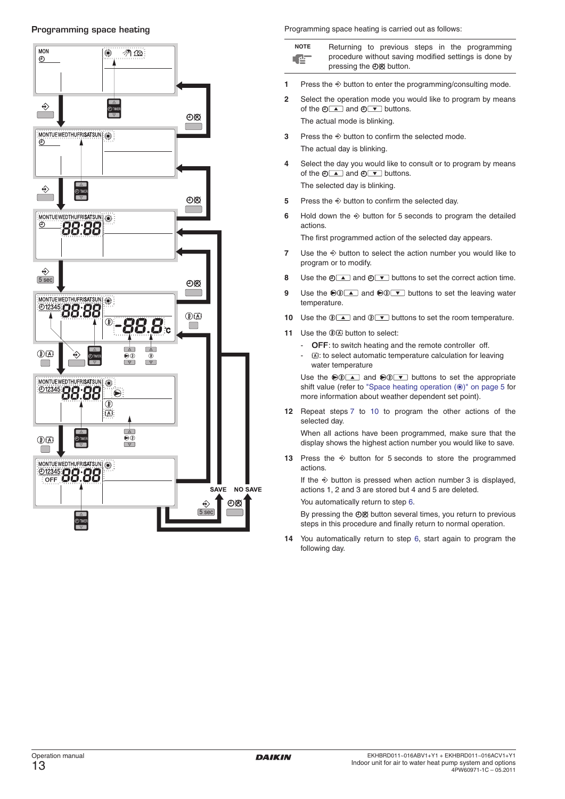

<span id="page-13-0"></span>**Programming space heating Programming space heating** is carried out as follows:

| <b>NOTE</b><br>中 | pressing the $\Theta\otimes$ button. |  |  | Returning to previous steps in the programming<br>procedure without saving modified settings is done by |  |
|------------------|--------------------------------------|--|--|---------------------------------------------------------------------------------------------------------|--|
|                  |                                      |  |  | Press the $\Diamond$ button to enter the programming/consulting mode.                                   |  |

- **2** Select the operation mode you would like to program by means of the  $\bigoplus$  **A** and  $\bigoplus$  **v** buttons. The actual mode is blinking.
- **3** Press the  $\Leftrightarrow$  button to confirm the selected mode. The actual day is blinking.
- **4** Select the day you would like to consult or to program by means of the  $\Theta$   $\boxed{\triangle}$  and  $\Theta$   $\boxed{\triangledown}$  buttons. The selected day is blinking.
- **5** Press the  $\hat{\diamond}$  button to confirm the selected day.
- <span id="page-13-1"></span>**6** Hold down the  $\Leftrightarrow$  button for 5 seconds to program the detailed actions.

The first programmed action of the selected day appears.

- <span id="page-13-2"></span>**7** Use the  $\hat{\diamond}$  button to select the action number you would like to program or to modify.
- **8** Use the  $\bigoplus$  **A** and  $\bigoplus$  **v** buttons to set the correct action time.
- **9** Use the  $\bigcirc$  **A** and  $\bigcirc$  **v** buttons to set the leaving water temperature.
- <span id="page-13-3"></span>**10** Use the  $\mathbb{D}$  **A** and  $\mathbb{D}$  **v** buttons to set the room temperature.
- 11 Use the **DE** button to select:
	- OFF: to switch heating and the remote controller off.
	- $E$ : to select automatic temperature calculation for leaving water temperature

Use the  $\bigcirc$   $\Box$  and  $\bigcirc$   $\circ$   $\Box$  buttons to set the appropriate shift value (refer to ["Space heating operation \(](#page-5-0)\*)" on page 5 for more information about weather dependent set point).

**12** Repeat steps [7](#page-13-2) to [10](#page-13-3) to program the other actions of the selected day.

When all actions have been programmed, make sure that the display shows the highest action number you would like to save.

**13** Press the  $\triangle$  button for 5 seconds to store the programmed actions.

If the  $\hat{\diamond}$  button is pressed when action number 3 is displayed, actions 1, 2 and 3 are stored but 4 and 5 are deleted.

You automatically return to step [6](#page-13-1).

By pressing the  $\Theta\otimes$  button several times, you return to previous steps in this procedure and finally return to normal operation.

**14** You automatically return to step [6](#page-13-1), start again to program the following day.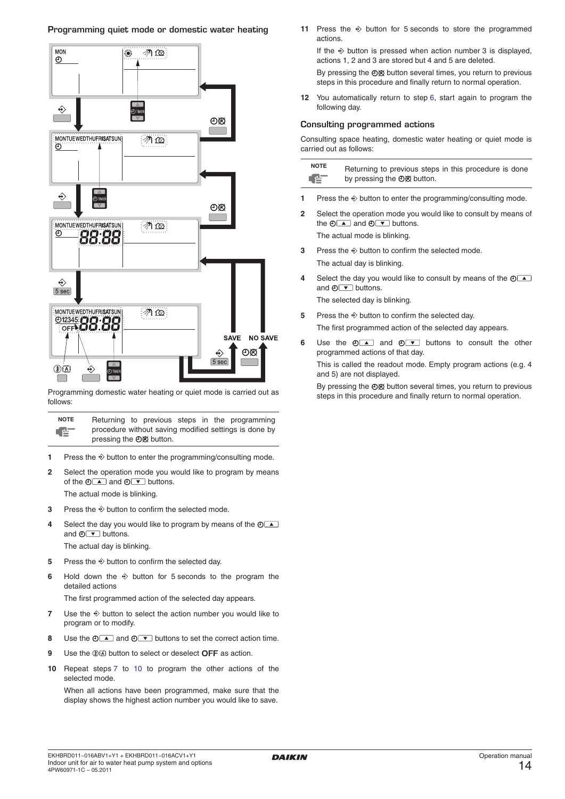<span id="page-14-0"></span>

Programming domestic water heating or quiet mode is carried out as follows:

| <b>NOTE</b> |                                      |  |  | Returning to previous steps in the programming        |
|-------------|--------------------------------------|--|--|-------------------------------------------------------|
| <b>【图】</b>  | pressing the $\Theta\otimes$ button. |  |  | procedure without saving modified settings is done by |

- **1** Press the  $\hat{\diamond}$  button to enter the programming/consulting mode.
- **2** Select the operation mode you would like to program by means of the  $\bigoplus$  **A** and  $\bigoplus$  **v** buttons. The actual mode is blinking.
- **3** Press the  $\triangle$  button to confirm the selected mode.
- **4** Select the day you would like to program by means of the  $\Theta$ and  $\odot$   $\blacksquare$  buttons.

The actual day is blinking.

- **5** Press the  $\Leftrightarrow$  button to confirm the selected day.
- <span id="page-14-4"></span>**6** Hold down the  $\hat{\diamond}$  button for 5 seconds to the program the detailed actions

The first programmed action of the selected day appears.

- <span id="page-14-2"></span>**7** Use the  $\Leftrightarrow$  button to select the action number you would like to program or to modify.
- **8** Use the  $\bigoplus$  **A** and  $\bigoplus$  **v** buttons to set the correct action time.
- **9** Use the **D** $\overline{A}$  button to select or deselect **OFF** as action.
- <span id="page-14-3"></span>**10** Repeat steps [7](#page-14-2) to [10](#page-14-3) to program the other actions of the selected mode.

When all actions have been programmed, make sure that the display shows the highest action number you would like to save.

**11** Press the  $\hat{\diamond}$  button for 5 seconds to store the programmed actions.

If the  $\Leftrightarrow$  button is pressed when action number 3 is displayed, actions 1, 2 and 3 are stored but 4 and 5 are deleted.

By pressing the  $\Theta\otimes$  button several times, you return to previous steps in this procedure and finally return to normal operation.

**12** You automatically return to step [6,](#page-14-4) start again to program the following day.

## <span id="page-14-1"></span>**Consulting programmed actions**

Consulting space heating, domestic water heating or quiet mode is carried out as follows:

| <b>NOTE</b> | Returning to previous steps in this procedure is done |
|-------------|-------------------------------------------------------|
| "吗"         | by pressing the ①\, button.                           |

- **1** Press the  $\hat{\diamond}$  button to enter the programming/consulting mode.
- **2** Select the operation mode you would like to consult by means of the  $\odot$  **A** and  $\odot$  **v** buttons. The actual mode is blinking.

**3** Press the  $\triangle$  button to confirm the selected mode.

The actual day is blinking.

**4** Select the day you would like to consult by means of the  $\Theta$ and  $\odot$   $\blacksquare$  buttons.

The selected day is blinking.

- **5** Press the  $\triangle$  button to confirm the selected day. The first programmed action of the selected day appears.
- **6** Use the  $\bigoplus$  **A** and  $\bigoplus$  **v** buttons to consult the other programmed actions of that day.

This is called the readout mode. Empty program actions (e.g. 4 and 5) are not displayed.

By pressing the  $\Theta\otimes$  button several times, you return to previous steps in this procedure and finally return to normal operation.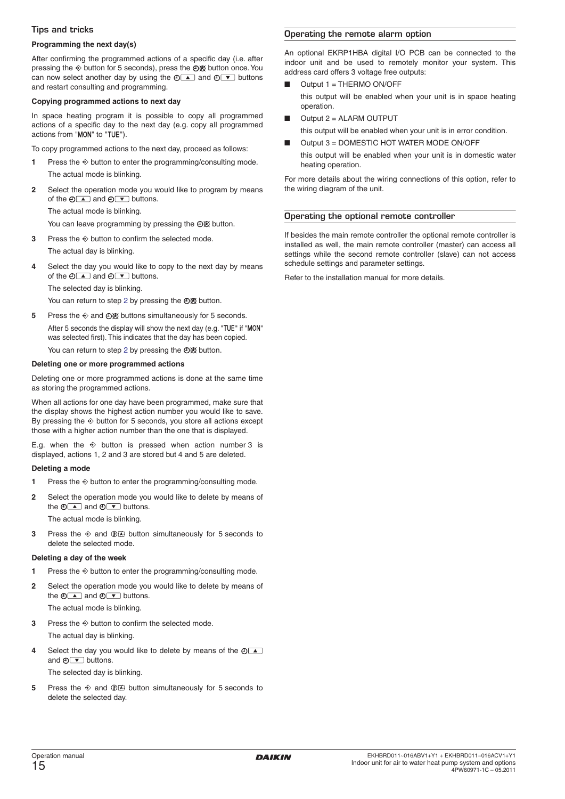# <span id="page-15-0"></span>**Tips and tricks**

## **Programming the next day(s)**

After confirming the programmed actions of a specific day (i.e. after pressing the  $\Diamond$  button for 5 seconds), press the  $\Theta\otimes$  button once. You can now select another day by using the  $\Theta$  and  $\Theta$   $\blacktriangledown$  buttons and restart consulting and programming.

#### **Copying programmed actions to next day**

In space heating program it is possible to copy all programmed actions of a specific day to the next day (e.g. copy all programmed actions from "MON" to "TUE").

To copy programmed actions to the next day, proceed as follows:

- **1** Press the  $\triangle$  button to enter the programming/consulting mode. The actual mode is blinking.
- <span id="page-15-3"></span>**2** Select the operation mode you would like to program by means of the  $\bigoplus$  **A** and  $\bigoplus$  **v** buttons.

The actual mode is blinking.

You can leave programming by pressing the  $\Theta\otimes$  button.

**3** Press the  $\triangle$  button to confirm the selected mode. The actual day is blinking.

**4** Select the day you would like to copy to the next day by means of the  $\bigoplus$   $\blacksquare$  and  $\bigoplus$   $\blacksquare$  buttons. The selected day is blinking.

You can return to step [2](#page-15-3) by pressing the  $\Theta\otimes$  button.

**5** Press the  $\hat{\diamond}$  and  $\Theta$  $\otimes$  buttons simultaneously for 5 seconds. After 5 seconds the display will show the next day (e.g. "TUE" if "MON" was selected first). This indicates that the day has been copied. You can return to step [2](#page-15-3) by pressing the  $\Theta\otimes$  button.

#### **Deleting one or more programmed actions**

Deleting one or more programmed actions is done at the same time as storing the programmed actions.

When all actions for one day have been programmed, make sure that the display shows the highest action number you would like to save. By pressing the  $\hat{\diamond}$  button for 5 seconds, you store all actions except those with a higher action number than the one that is displayed.

E.g. when the  $\hat{\diamond}$  button is pressed when action number 3 is displayed, actions 1, 2 and 3 are stored but 4 and 5 are deleted.

#### **Deleting a mode**

- **1** Press the  $\triangle$  button to enter the programming/consulting mode.
- **2** Select the operation mode you would like to delete by means of the  $\odot$  **A** and  $\odot$  **T** buttons. The actual mode is blinking.
- **3** Press the  $\Leftrightarrow$  and  $\textcircled{F\textcircled{A}}$  button simultaneously for 5 seconds to delete the selected mode.

#### **Deleting a day of the week**

- **1** Press the  $\Leftrightarrow$  button to enter the programming/consulting mode.
- **2** Select the operation mode you would like to delete by means of the  $\odot$  **A** and  $\odot$  **v** buttons.

The actual mode is blinking.

- **3** Press the  $\hat{\diamond}$  button to confirm the selected mode. The actual day is blinking.
- **4** Select the day you would like to delete by means of the  $\Theta$ and  $\odot$   $\blacksquare$  buttons. The selected day is blinking.
- **5** Press the  $\Leftrightarrow$  and  $\textcircled{12}$  button simultaneously for 5 seconds to delete the selected day.

# <span id="page-15-2"></span>**Operating the remote alarm option**

An optional EKRP1HBA digital I/O PCB can be connected to the indoor unit and be used to remotely monitor your system. This address card offers 3 voltage free outputs:

- Output 1 = THERMO ON/OFF
- this output will be enabled when your unit is in space heating operation.
- Output 2 = ALARM OUTPUT
- this output will be enabled when your unit is in error condition.
- $Output 3 = DOMESTIC HOT WATER MODE ON/OFF$ this output will be enabled when your unit is in domestic water heating operation.

For more details about the wiring connections of this option, refer to the wiring diagram of the unit.

#### <span id="page-15-1"></span>**Operating the optional remote controller**

If besides the main remote controller the optional remote controller is installed as well, the main remote controller (master) can access all settings while the second remote controller (slave) can not access schedule settings and parameter settings.

Refer to the installation manual for more details.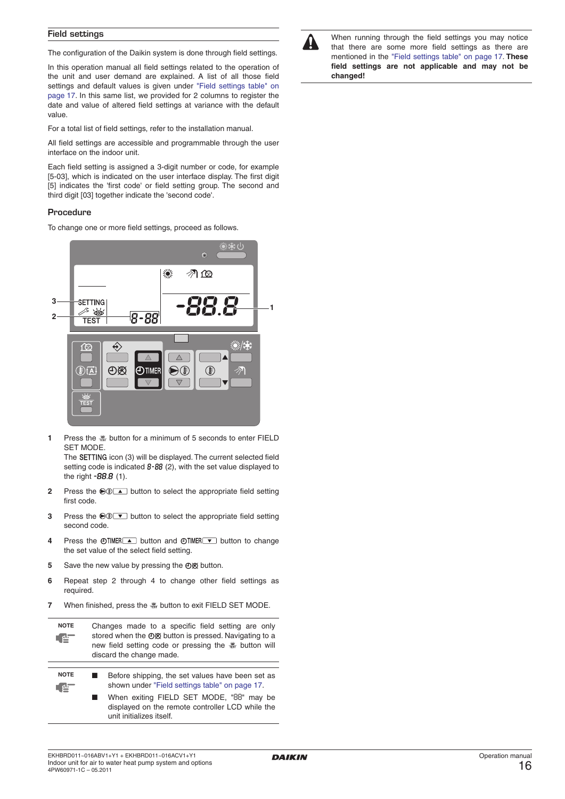# <span id="page-16-0"></span>**Field settings**

The configuration of the Daikin system is done through field settings.

In this operation manual all field settings related to the operation of the unit and user demand are explained. A list of all those field settings and default values is given under ["Field settings table" on](#page-17-0) [page 17](#page-17-0). In this same list, we provided for 2 columns to register the date and value of altered field settings at variance with the default value.

For a total list of field settings, refer to the installation manual.

All field settings are accessible and programmable through the user interface on the indoor unit.

Each field setting is assigned a 3-digit number or code, for example [5-03], which is indicated on the user interface display. The first digit [5] indicates the 'first code' or field setting group. The second and third digit [03] together indicate the 'second code'.

# <span id="page-16-1"></span>**Procedure**

To change one or more field settings, proceed as follows.



**1** Press the  $\frac{48}{165}$  button for a minimum of 5 seconds to enter FIELD SET MODE.

The SETTING icon (3) will be displayed. The current selected field setting code is indicated  $8 - 88$  (2), with the set value displayed to the right  $-88.8$  (1).

- **2** Press the  $\bigcirc$  **E** button to select the appropriate field setting first code.
- **3** Press the  $\bigcirc$   $\bullet$   $\bullet$  button to select the appropriate field setting second code.
- **4** Press the  $\bigoplus$ TIMER $\blacksquare$  button and  $\bigoplus$ TIMER $\blacksquare$  button to change the set value of the select field setting.
- **5** Save the new value by pressing the  $\Theta$  $\otimes$  button.
- **6** Repeat step 2 through 4 to change other field settings as required.
- **7** When finished, press the  $\frac{16}{1500}$  button to exit FIELD SET MODE.

| <b>NOTE</b> | Changes made to a specific field setting are only                                                                                                                     |
|-------------|-----------------------------------------------------------------------------------------------------------------------------------------------------------------------|
| <b>【尘】</b>  | stored when the $\Theta\otimes$ button is pressed. Navigating to a<br>new field setting code or pressing the $\frac{26}{100}$ button will<br>discard the change made. |

| <b>NOTE</b> | . . | Before shipping, the set values have been set as                                                                         |
|-------------|-----|--------------------------------------------------------------------------------------------------------------------------|
| 工些工         |     | shown under "Field settings table" on page 17.                                                                           |
|             |     | When exiting FIELD SET MODE, "88" may be<br>displayed on the remote controller LCD while the<br>unit initializes itself. |



When running through the field settings you may notice that there are some more field settings as there are mentioned in the ["Field settings table" on page 17.](#page-17-0) **These field settings are not applicable and may not be changed!**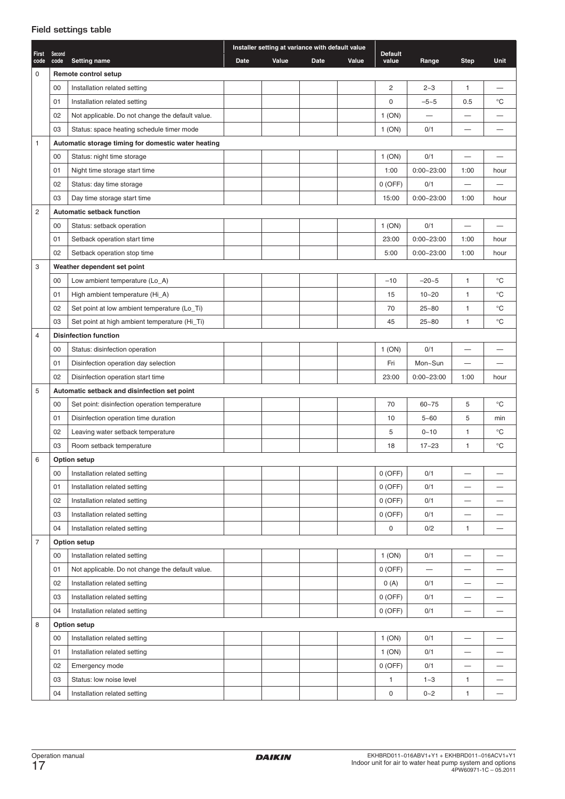<span id="page-17-0"></span>**Field settings table**

|                      |                              |                                                     |      | Installer setting at variance with default value |      |       |                         |                          |                          |                          |
|----------------------|------------------------------|-----------------------------------------------------|------|--------------------------------------------------|------|-------|-------------------------|--------------------------|--------------------------|--------------------------|
| <b>First</b><br>code | Second<br>code               | <b>Setting name</b>                                 | Date | Value                                            | Date | Value | <b>Default</b><br>value | Range                    | <b>Step</b>              | <b>Unit</b>              |
| 0                    |                              | Remote control setup                                |      |                                                  |      |       |                         |                          |                          |                          |
|                      | 00                           | Installation related setting                        |      |                                                  |      |       | 2                       | $2 - 3$                  | $\mathbf{1}$             |                          |
|                      | 01                           | Installation related setting                        |      |                                                  |      |       | 0                       | $-5 - 5$                 | 0.5                      | $^{\circ}C$              |
|                      | 02                           | Not applicable. Do not change the default value.    |      |                                                  |      |       | 1 (ON)                  |                          |                          |                          |
|                      | 03                           | Status: space heating schedule timer mode           |      |                                                  |      |       | 1 (ON)                  | 0/1                      | —                        |                          |
| 1                    |                              | Automatic storage timing for domestic water heating |      |                                                  |      |       |                         |                          |                          |                          |
|                      | 00                           | Status: night time storage                          |      |                                                  |      |       | 1 (ON)                  | 0/1                      | $\overline{\phantom{0}}$ |                          |
|                      | 01                           | Night time storage start time                       |      |                                                  |      |       | 1:00                    | $0:00 - 23:00$           | 1:00                     | hour                     |
|                      | 02                           | Status: day time storage                            |      |                                                  |      |       | $0$ (OFF)               | 0/1                      |                          |                          |
|                      | 03                           | Day time storage start time                         |      |                                                  |      |       | 15:00                   | $0:00 - 23:00$           | 1:00                     | hour                     |
| $\overline{c}$       |                              | <b>Automatic setback function</b>                   |      |                                                  |      |       |                         |                          |                          |                          |
|                      | 00                           | Status: setback operation                           |      |                                                  |      |       | 1 (ON)                  | 0/1                      | $\overline{\phantom{0}}$ | $\overline{\phantom{0}}$ |
|                      | 01                           | Setback operation start time                        |      |                                                  |      |       | 23:00                   | $0:00 - 23:00$           | 1:00                     | hour                     |
|                      | 02                           | Setback operation stop time                         |      |                                                  |      |       | 5:00                    | $0:00 - 23:00$           | 1:00                     | hour                     |
| 3                    |                              | Weather dependent set point                         |      |                                                  |      |       |                         |                          |                          |                          |
|                      | 00                           | Low ambient temperature (Lo_A)                      |      |                                                  |      |       | $-10$                   | $-20-5$                  | $\mathbf{1}$             | $^{\circ}C$              |
|                      | 01                           | High ambient temperature (Hi_A)                     |      |                                                  |      |       | 15                      | $10 - 20$                | $\mathbf{1}$             | $^{\circ}C$              |
|                      | 02                           | Set point at low ambient temperature (Lo_Ti)        |      |                                                  |      |       | 70                      | $25 - 80$                | $\mathbf{1}$             | $^{\circ}C$              |
|                      | 03                           | Set point at high ambient temperature (Hi_Ti)       |      |                                                  |      |       | 45                      | $25 - 80$                | $\mathbf{1}$             | $^{\circ}C$              |
| $\overline{4}$       | <b>Disinfection function</b> |                                                     |      |                                                  |      |       |                         |                          |                          |                          |
|                      | 00                           | Status: disinfection operation                      |      |                                                  |      |       | 1 (ON)                  | 0/1                      | ▃                        |                          |
|                      | 01                           | Disinfection operation day selection                |      |                                                  |      |       | Fri                     | Mon~Sun                  | $\overline{\phantom{0}}$ | —                        |
|                      | 02                           | Disinfection operation start time                   |      |                                                  |      |       | 23:00                   | $0:00 - 23:00$           | 1:00                     | hour                     |
| 5                    |                              | Automatic setback and disinfection set point        |      |                                                  |      |       |                         |                          |                          |                          |
|                      | 00                           | Set point: disinfection operation temperature       |      |                                                  |      |       | 70                      | $60 - 75$                | 5                        | $^{\circ}C$              |
|                      | 01                           | Disinfection operation time duration                |      |                                                  |      |       | 10                      | $5 - 60$                 | 5                        | min                      |
|                      | 02                           | Leaving water setback temperature                   |      |                                                  |      |       | 5                       | $0 - 10$                 | $\mathbf{1}$             | $^{\circ}C$              |
|                      | 03                           | Room setback temperature                            |      |                                                  |      |       | 18                      | $17 - 23$                | $\mathbf{1}$             | $^{\circ}C$              |
| 6                    |                              | Option setup                                        |      |                                                  |      |       |                         |                          |                          |                          |
|                      | 00                           | Installation related setting                        |      |                                                  |      |       | $0$ (OFF)               | 0/1                      | —                        |                          |
|                      | 01                           | Installation related setting                        |      |                                                  |      |       | $0$ (OFF)               | 0/1                      | —                        |                          |
|                      | 02                           | Installation related setting                        |      |                                                  |      |       | $0$ (OFF)               | 0/1                      | $\overline{\phantom{0}}$ |                          |
|                      | 03                           | Installation related setting                        |      |                                                  |      |       | $0$ (OFF)               | 0/1                      | $\overline{\phantom{0}}$ | —                        |
|                      | 04                           | Installation related setting                        |      |                                                  |      |       | 0                       | 0/2                      | $\mathbf{1}$             | —                        |
| $\overline{7}$       | <b>Option setup</b>          |                                                     |      |                                                  |      |       |                         |                          |                          |                          |
|                      | 00                           | Installation related setting                        |      |                                                  |      |       | 1 (ON)                  | 0/1                      | $\overline{\phantom{0}}$ | $\overline{\phantom{0}}$ |
|                      | 01                           | Not applicable. Do not change the default value.    |      |                                                  |      |       | $0$ (OFF)               | $\overline{\phantom{0}}$ | $\overline{\phantom{0}}$ |                          |
|                      | 02                           | Installation related setting                        |      |                                                  |      |       | 0(A)                    | 0/1                      | $\overline{\phantom{0}}$ |                          |
|                      | 03                           | Installation related setting                        |      |                                                  |      |       | $0$ (OFF)               | 0/1                      | —                        |                          |
|                      | 04                           | Installation related setting                        |      |                                                  |      |       | $0$ (OFF)               | 0/1                      | —                        | —                        |
| 8                    |                              | <b>Option setup</b>                                 |      |                                                  |      |       |                         |                          |                          |                          |
|                      | 00                           | Installation related setting                        |      |                                                  |      |       | 1 (ON)                  | 0/1                      | $\overline{\phantom{0}}$ |                          |
|                      | 01                           | Installation related setting                        |      |                                                  |      |       | 1 (ON)                  | 0/1                      | —                        | —                        |
|                      | 02                           | Emergency mode                                      |      |                                                  |      |       | $0$ (OFF)               | 0/1                      |                          | —                        |
|                      | 03                           | Status: low noise level                             |      |                                                  |      |       | 1                       | $1 - 3$                  | $\mathbf{1}$             | $\qquad \qquad -$        |
|                      | 04                           | Installation related setting                        |      |                                                  |      |       | 0                       | $0 - 2$                  | $\mathbf{1}$             | $\overline{\phantom{m}}$ |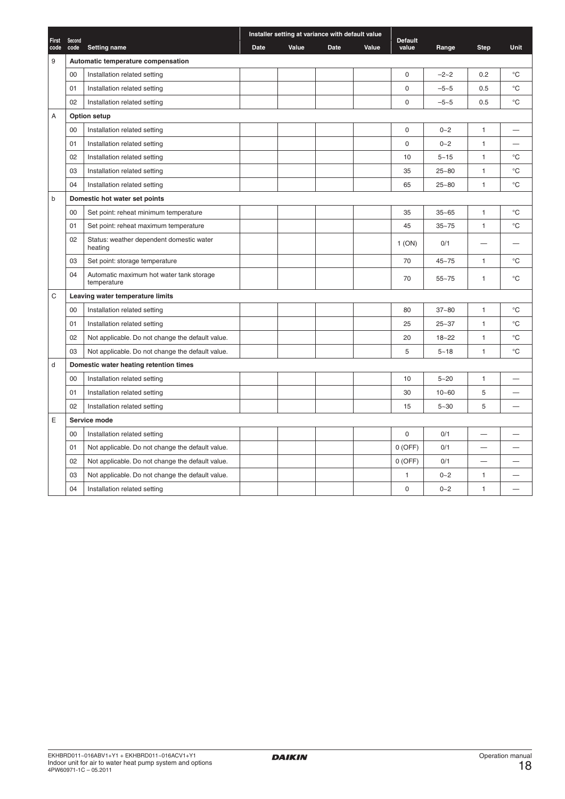|                      | Second |                                                         |             | Installer setting at variance with default value |      |       | <b>Default</b> |           |                          |                          |
|----------------------|--------|---------------------------------------------------------|-------------|--------------------------------------------------|------|-------|----------------|-----------|--------------------------|--------------------------|
| <b>First</b><br>code | code   | Setting name                                            | <b>Date</b> | Value                                            | Date | Value | value          | Range     | <b>Step</b>              | <b>Unit</b>              |
| $9\,$                |        | Automatic temperature compensation                      |             |                                                  |      |       |                |           |                          |                          |
|                      | 00     | Installation related setting                            |             |                                                  |      |       | 0              | $-2 - 2$  | 0.2                      | $^{\circ}C$              |
|                      | 01     | Installation related setting                            |             |                                                  |      |       | 0              | $-5 - 5$  | 0.5                      | $^{\circ}C$              |
|                      | 02     | Installation related setting                            |             |                                                  |      |       | 0              | $-5 - 5$  | 0.5                      | $^{\circ}$ C             |
| A                    |        | <b>Option setup</b>                                     |             |                                                  |      |       |                |           |                          |                          |
|                      | 00     | Installation related setting                            |             |                                                  |      |       | 0              | $0 - 2$   | $\mathbf{1}$             |                          |
|                      | 01     | Installation related setting                            |             |                                                  |      |       | 0              | $0 - 2$   | $\mathbf{1}$             |                          |
|                      | 02     | Installation related setting                            |             |                                                  |      |       | 10             | $5 - 15$  | $\mathbf{1}$             | $^{\circ}C$              |
|                      | 03     | Installation related setting                            |             |                                                  |      |       | 35             | $25 - 80$ | $\mathbf{1}$             | $^{\circ}C$              |
|                      | 04     | Installation related setting                            |             |                                                  |      |       | 65             | $25 - 80$ | $\mathbf{1}$             | $^{\circ}C$              |
| b                    |        | Domestic hot water set points                           |             |                                                  |      |       |                |           |                          |                          |
|                      | 00     | Set point: reheat minimum temperature                   |             |                                                  |      |       | 35             | $35 - 65$ | $\mathbf{1}$             | $^{\circ}C$              |
|                      | 01     | Set point: reheat maximum temperature                   |             |                                                  |      |       | 45             | $35 - 75$ | $\mathbf{1}$             | $^{\circ}C$              |
|                      | 02     | Status: weather dependent domestic water<br>heating     |             |                                                  |      |       | 1 (ON)         | 0/1       |                          |                          |
|                      | 03     | Set point: storage temperature                          |             |                                                  |      |       | 70             | $45 - 75$ | 1                        | $^{\circ}C$              |
|                      | 04     | Automatic maximum hot water tank storage<br>temperature |             |                                                  |      |       | 70             | $55 - 75$ | 1                        | $^{\circ}C$              |
| C                    |        | Leaving water temperature limits                        |             |                                                  |      |       |                |           |                          |                          |
|                      | 00     | Installation related setting                            |             |                                                  |      |       | 80             | $37 - 80$ | $\mathbf{1}$             | °C                       |
|                      | 01     | Installation related setting                            |             |                                                  |      |       | 25             | $25 - 37$ | $\mathbf{1}$             | $^{\circ}C$              |
|                      | 02     | Not applicable. Do not change the default value.        |             |                                                  |      |       | 20             | $18 - 22$ | $\mathbf{1}$             | $^{\circ}C$              |
|                      | 03     | Not applicable. Do not change the default value.        |             |                                                  |      |       | 5              | $5 - 18$  | $\mathbf{1}$             | $^{\circ}C$              |
| d                    |        | Domestic water heating retention times                  |             |                                                  |      |       |                |           |                          |                          |
|                      | 00     | Installation related setting                            |             |                                                  |      |       | 10             | $5 - 20$  | $\mathbf{1}$             |                          |
|                      | 01     | Installation related setting                            |             |                                                  |      |       | 30             | $10 - 60$ | 5                        |                          |
|                      | 02     | Installation related setting                            |             |                                                  |      |       | 15             | $5 - 30$  | 5                        | $\overline{\phantom{0}}$ |
| Ε                    |        | Service mode                                            |             |                                                  |      |       |                |           |                          |                          |
|                      | 00     | Installation related setting                            |             |                                                  |      |       | $\Omega$       | 0/1       | —                        |                          |
|                      | 01     | Not applicable. Do not change the default value.        |             |                                                  |      |       | $0$ (OFF)      | 0/1       | $\overline{\phantom{a}}$ |                          |
|                      | 02     | Not applicable. Do not change the default value.        |             |                                                  |      |       | $0$ (OFF)      | 0/1       | —                        |                          |
|                      | 03     | Not applicable. Do not change the default value.        |             |                                                  |      |       | $\mathbf{1}$   | $0 - 2$   | $\mathbf{1}$             |                          |
|                      | 04     | Installation related setting                            |             |                                                  |      |       | 0              | $0 - 2$   | $\mathbf{1}$             |                          |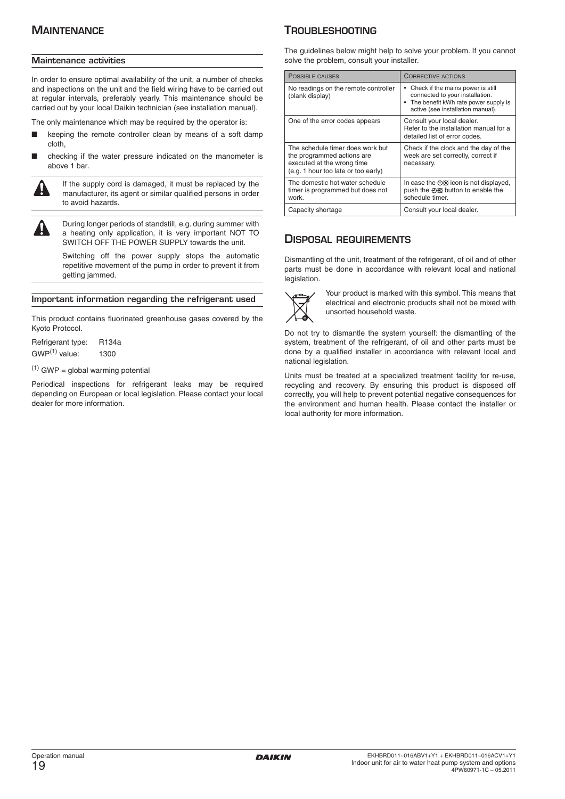# <span id="page-19-4"></span><span id="page-19-3"></span>**Maintenance activities**

In order to ensure optimal availability of the unit, a number of checks and inspections on the unit and the field wiring have to be carried out at regular intervals, preferably yearly. This maintenance should be carried out by your local Daikin technician (see installation manual).

The only maintenance which may be required by the operator is:

- keeping the remote controller clean by means of a soft damp cloth,
- checking if the water pressure indicated on the manometer is above 1 bar.

If the supply cord is damaged, it must be replaced by the manufacturer, its agent or similar qualified persons in order to avoid hazards.

During longer periods of standstill, e.g. during summer with a heating only application, it is very important NOT TO SWITCH OFF THE POWER SUPPLY towards the unit.

Switching off the power supply stops the automatic repetitive movement of the pump in order to prevent it from getting jammed.

## <span id="page-19-2"></span>**Important information regarding the refrigerant used**

This product contains fluorinated greenhouse gases covered by the Kyoto Protocol.

Refrigerant type: R134a  $GWP<sup>(1)</sup>$  value: 1300

 $(1)$  GWP = global warming potential

Periodical inspections for refrigerant leaks may be required depending on European or local legislation. Please contact your local dealer for more information.

# <span id="page-19-0"></span>**TROUBLESHOOTING**

The guidelines below might help to solve your problem. If you cannot solve the problem, consult your installer.

| POSSIBLE CAUSES                                                                                                                     | <b>CORRECTIVE ACTIONS</b>                                                                                                                           |
|-------------------------------------------------------------------------------------------------------------------------------------|-----------------------------------------------------------------------------------------------------------------------------------------------------|
| No readings on the remote controller<br>(blank display)                                                                             | • Check if the mains power is still<br>connected to your installation.<br>The benefit kWh rate power supply is<br>active (see installation manual). |
| One of the error codes appears                                                                                                      | Consult your local dealer.<br>Refer to the installation manual for a<br>detailed list of error codes.                                               |
| The schedule timer does work but<br>the programmed actions are<br>executed at the wrong time<br>(e.g. 1 hour too late or too early) | Check if the clock and the day of the<br>week are set correctly, correct if<br>necessary.                                                           |
| The domestic hot water schedule<br>timer is programmed but does not<br>work.                                                        | In case the ⊕\ icon is not displayed,<br>push the $\Theta\otimes$ button to enable the<br>schedule timer.                                           |
| Capacity shortage                                                                                                                   | Consult your local dealer.                                                                                                                          |

# <span id="page-19-1"></span>**DISPOSAL REQUIREMENTS**

Dismantling of the unit, treatment of the refrigerant, of oil and of other parts must be done in accordance with relevant local and national legislation.



Your product is marked with this symbol. This means that electrical and electronic products shall not be mixed with unsorted household waste.

Do not try to dismantle the system yourself: the dismantling of the system, treatment of the refrigerant, of oil and other parts must be done by a qualified installer in accordance with relevant local and national legislation.

Units must be treated at a specialized treatment facility for re-use, recycling and recovery. By ensuring this product is disposed off correctly, you will help to prevent potential negative consequences for the environment and human health. Please contact the installer or local authority for more information.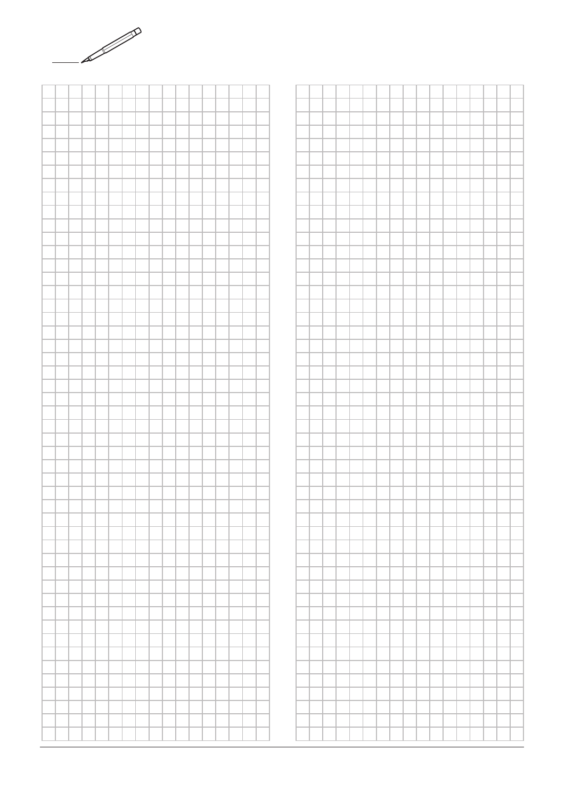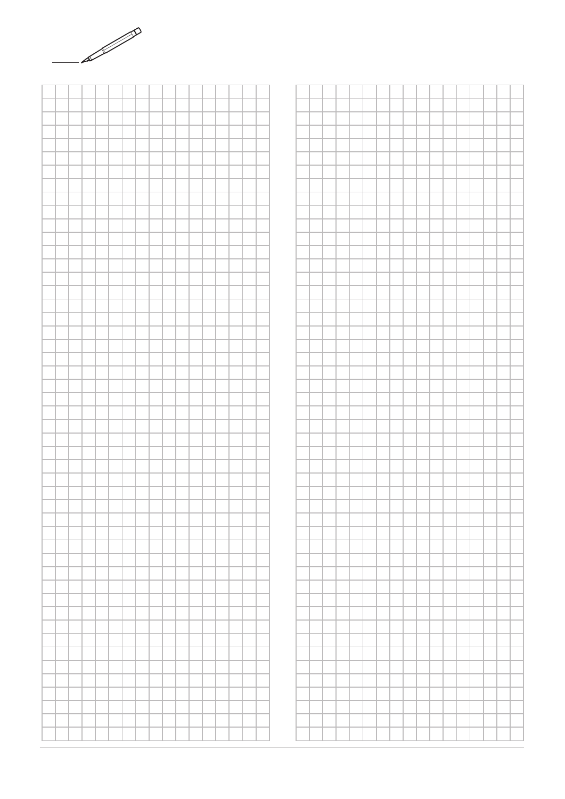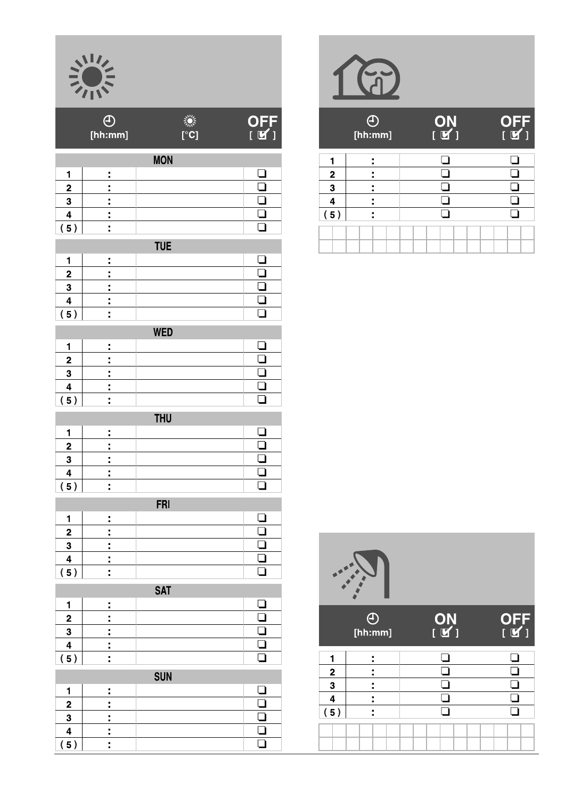|                         | $\sum_{\ell=1}^{N-1/2}$ |                  |        |
|-------------------------|-------------------------|------------------|--------|
|                         | $\bigoplus$<br>[hh:mm]  | <b>《</b><br>[°C] |        |
|                         |                         | <b>MON</b>       |        |
| 1                       | :                       |                  | ┓      |
| $\overline{2}$          | I                       |                  |        |
| 3                       | İ                       |                  |        |
| 4                       | İ                       |                  |        |
| (5)                     | :                       |                  |        |
|                         |                         | <b>TUE</b>       |        |
| 1                       | ì                       |                  | - 1    |
| $\overline{\mathbf{c}}$ | :                       |                  |        |
| 3                       | İ                       |                  | ן      |
| 4                       | :                       |                  |        |
| (5)                     | ÷                       |                  |        |
|                         |                         | <b>WED</b>       |        |
| 1                       | İ,                      |                  | Ĺ      |
| $\overline{\mathbf{c}}$ | $\ddot{ }$              |                  | ו      |
| 3                       | :                       |                  |        |
| 4                       | İ                       |                  |        |
| (5)                     | :                       |                  |        |
|                         |                         | <b>THU</b>       |        |
| 1                       | I                       |                  | l 1    |
| $\overline{\mathbf{c}}$ | :                       |                  |        |
| 3                       | İ                       |                  |        |
| 4                       | F                       |                  |        |
| $\overline{(\,5\,)}$    | ä,                      |                  |        |
|                         |                         | <b>FRI</b>       |        |
| 1                       | Ì                       |                  | ப      |
| $\overline{2}$          | ÷                       |                  |        |
| 3                       | ì                       |                  |        |
| 4                       | İ                       |                  | l 1    |
| (5)                     | :                       |                  |        |
|                         |                         | <b>SAT</b>       |        |
| 1                       | Ì                       |                  | ❏      |
| $\overline{\mathbf{c}}$ | İ                       |                  | П      |
| 3                       | İ                       |                  |        |
| 4                       | İ                       |                  | П      |
| (5)                     | ÷                       |                  | $\Box$ |
|                         |                         | <b>SUN</b>       |        |
| 1                       | Ì                       |                  | $\Box$ |
| $\overline{\mathbf{c}}$ | :                       |                  |        |
| 3                       | İ                       |                  |        |
| 4                       | :                       |                  |        |
| (5)                     | Ì                       |                  |        |



|              | $\bigoplus$<br>[hh:mm] | $\overline{ON}$ |  |
|--------------|------------------------|-----------------|--|
|              |                        |                 |  |
| $\mathbf{2}$ |                        |                 |  |
| 3            |                        |                 |  |
| Δ            |                        |                 |  |
| (5)          |                        |                 |  |
|              |                        |                 |  |
|              |                        |                 |  |

|                | $\mathbf \Theta$<br>[hh:mm] | $\overline{ON}$ | <b>OFF</b><br>[ <b>Ø</b> ] |
|----------------|-----------------------------|-----------------|----------------------------|
| 1              |                             |                 |                            |
| $\overline{2}$ |                             |                 |                            |
| 3              |                             |                 |                            |
| 4              |                             |                 |                            |
| (5)            |                             |                 |                            |
|                |                             |                 |                            |